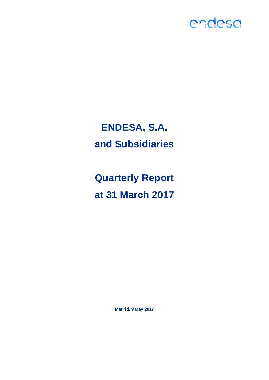

## **ENDESA, S.A. and Subsidiaries**

**Quarterly Report at 31 March 2017**

**Madrid, 9 May 2017**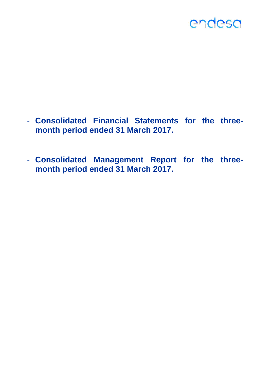- **Consolidated Financial Statements for the threemonth period ended 31 March 2017.**
- **Consolidated Management Report for the threemonth period ended 31 March 2017.**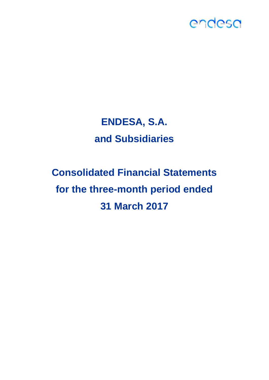## **ENDESA, S.A. and Subsidiaries**

# **Consolidated Financial Statements for the three-month period ended 31 March 2017**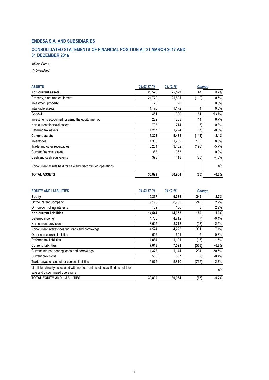## **CONSOLIDATED STATEMENTS OF FINANCIAL POSITION AT 31 MARCH 2017 AND 31 DECEMBER 2016**

*Million Euros*

*(\*) Unaudited*

| <b>ASSETS</b>                                                | $31.03.17$ (*) | 31.12.16 | <b>Change</b> |         |  |
|--------------------------------------------------------------|----------------|----------|---------------|---------|--|
| Non-current assets                                           | 25,576         | 25,529   | 47            | 0.2%    |  |
| Property, plant and equipment                                | 21,772         | 21,891   | (119)         | $-0.5%$ |  |
| Investment property                                          | 20             | 20       |               | 0.0%    |  |
| Intangible assets                                            | 1,176          | 1,172    | 4             | 0.3%    |  |
| Goodwill                                                     | 461            | 300      | 161           | 53.7%   |  |
| Investments accounted for using the equity method            | 222            | 208      | 14            | 6.7%    |  |
| Non-current financial assets                                 | 708            | 714      | (6)           | $-0.8%$ |  |
| Deferred tax assets                                          | 1,217          | 1,224    | (7            | $-0.6%$ |  |
| <b>Current assets</b>                                        | 5,323          | 5,435    | (112)         | $-2.1%$ |  |
| Inventories                                                  | 1,308          | 1,202    | 106           | 8.8%    |  |
| Trade and other receivables                                  | 3,254          | 3,452    | (198)         | $-5.7%$ |  |
| Current financial assets                                     | 363            | 363      |               | 0.0%    |  |
| Cash and cash equivalents                                    | 398            | 418      | (20)          | $-4.8%$ |  |
| Non-current assets held for sale and discontinued operations |                |          |               | n/a     |  |
| <b>TOTAL ASSETS</b>                                          | 30,899         | 30,964   | (65)          | $-0.2%$ |  |

| <b>EQUITY AND LIABILITIES</b>                                                                                      | $31.03.17$ (*) | 31.12.16 | <b>Change</b> |          |
|--------------------------------------------------------------------------------------------------------------------|----------------|----------|---------------|----------|
| <b>Equity</b>                                                                                                      | 9,337          | 9,088    | 249           | 2.7%     |
| Of the Parent Company                                                                                              | 9,198          | 8,952    | 246           | 2.7%     |
| Of non-controlling interests                                                                                       | 139            | 136      |               | 2.2%     |
| <b>Non-current liabilities</b>                                                                                     | 14,544         | 14,355   | 189           | 1.3%     |
| Deferred income                                                                                                    | 4,705          | 4,712    | (7)           | $-0.1%$  |
| Non-current provisions                                                                                             | 3,625          | 3,718    | (93)          | $-2.5%$  |
| Non-current interest-bearing loans and borrowings                                                                  | 4,524          | 4,223    | 301           | 7.1%     |
| Other non-current liabilities                                                                                      | 606            | 601      |               | 0.8%     |
| Deferred tax liabilities                                                                                           | 1,084          | 1,101    | (17)          | $-1.5%$  |
| <b>Current liabilities</b>                                                                                         | 7,018          | 7,521    | (503)         | $-6.7%$  |
| Current interest-bearing loans and borrowings                                                                      | 1,378          | 1,144    | 234           | 20.5%    |
| Current provisions                                                                                                 | 565            | 567      | (2)           | $-0.4%$  |
| Trade payables and other current liabilities                                                                       | 5,075          | 5,810    | (735)         | $-12.7%$ |
| Liabilities directly associated with non-current assets classified as held for<br>sale and discontinued operations |                |          |               | n/a      |
| <b>TOTAL EQUITY AND LIABILITIES</b>                                                                                | 30,899         | 30,964   | (65)          | $-0.2%$  |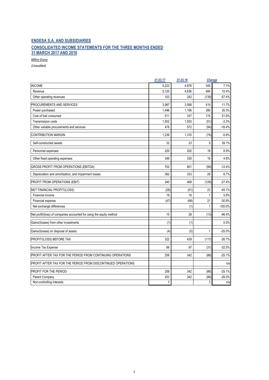## **ENDESA S.A. AND SUBSIDIARIES CONSOLIDATED INCOME STATEMENTS FOR THE THREE MONTHS ENDED 31 MARCH 2017 AND 2016**

*Million Euros*

|                                                                      | 31.03.17 | 31.03.16 | Change       |           |
|----------------------------------------------------------------------|----------|----------|--------------|-----------|
| <b>INCOME</b>                                                        | 5.223    | 4.878    | 345          | 7.1%      |
| Revenue                                                              | 5.120    | 4,636    | 484          | 10.4%     |
| Other operating revenues                                             | 103      | 242      | (139)        | $-57.4%$  |
| PROCUREMENTS AND SERVICES                                            | 3.987    | 3.568    | 419          | 11.7%     |
| Power purchased                                                      | 1,496    | 1,106    | 390          | 35.3%     |
| Cost of fuel consumed                                                | 511      | 337      | 174          | 51.6%     |
| Transmission costs                                                   | 1,502    | 1,553    | (51)         | $-3.3%$   |
| Other variable procurements and services                             | 478      | 572      | (94)         | $-16.4%$  |
| <b>CONTRIBUTION MARGIN</b>                                           | 1.236    | 1,310    | (74)         | $-5.6%$   |
| Self-constructed assets                                              | 32       | 23       | 9            | 39.1%     |
| Personnel expenses                                                   | 220      | 202      | 18           | 8.9%      |
| Other fixed operating expenses                                       | 346      | 330      | 16           | 4.8%      |
| <b>GROSS PROFIT FROM OPERATIONS (EBITDA)</b>                         | 702      | 801      | (99)         | $-12.4%$  |
| Depreciation and amortisation, and impairment losses                 | 362      | 333      | 29           | 8.7%      |
| PROFIT FROM OPERATIONS (EBIT)                                        | 340      | 468      | (128)        | $-27.4%$  |
| NET FINANCIAL PROFIT/(LOSS)                                          | (28)     | (51)     | 23           | $-45.1%$  |
| Financial income                                                     | 19       | 18       | $\mathbf{1}$ | 5.6%      |
| Financial expense                                                    | (47)     | (68)     | 21           | $-30.9%$  |
| Net exchange differences                                             |          | (1)      | $\mathbf{1}$ | $-100.0%$ |
| Net profit/(loss) of companies accounted for using the equity method | 15       | 28       | (13)         | $-46.4%$  |
| Gains/(losses) from other investments                                | (1)      | (1)      |              | 0.0%      |
| Gains/(losses) on disposal of assets                                 | (4)      | (5)      | 1            | $-20.0%$  |
| PROFIT/(LOSS) BEFORE TAX                                             | 322      | 439      | (117)        | $-26.7%$  |
| Income Tax Expense                                                   | 66       | 97       | (31)         | $-32.0%$  |
| PROFIT AFTER TAX FOR THE PERIOD FROM CONTINUING OPERATIONS           | 256      | 342      | (86)         | $-25.1%$  |
| PROFIT AFTER TAX FOR THE PERIOD FROM DISCONTINUED OPERATIONS         |          |          |              | n/a       |
| PROFIT FOR THE PERIOD                                                | 256      | 342      | (86)         | $-25.1%$  |
| Parent Company                                                       | 253      | 342      | (89)         | $-26.0%$  |
| Non-controlling interests                                            | 3        |          | 3            | n/a       |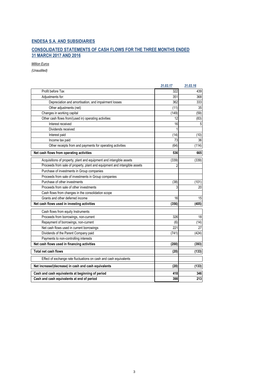## **CONSOLIDATED STATEMENTS OF CASH FLOWS FOR THE THREE MONTHS ENDED 31 MARCH 2017 AND 2016**

*Million Euros*

|                                                                           | 31.03.17       | 31.03.16 |
|---------------------------------------------------------------------------|----------------|----------|
| Profit before Tax                                                         | 322            | 439      |
| Adjustments for:                                                          | 351            | 368      |
| Depreciation and amortisation, and impairment losses                      | 362            | 333      |
| Other adjustments (net)                                                   | (11)           | 35       |
| Changes in working capital                                                | (149)          | (59)     |
| Other cash flows from/(used in) operating activities:                     | 12             | (83)     |
| Interest received                                                         | 16             | 5        |
| Dividends received                                                        | 1              |          |
| Interest paid                                                             | (14)           | (10)     |
| Income tax paid                                                           | 73             | 36       |
| Other receipts from and payments for operating activities                 | (64)           | (114)    |
| Net cash flows from operating activities                                  | 536            | 665      |
| Acquisitions of property, plant and equipment and intangible assets       | (339)          | (339)    |
| Proceeds from sale of property, plant and equipment and intangible assets | $\overline{2}$ |          |
| Purchase of investments in Group companies                                |                |          |
| Proceeds from sale of investments in Group companies                      |                |          |
| Purchase of other investments                                             | (38)           | (101)    |
| Proceeds from sale of other investments                                   | 3              | 20       |
| Cash flows from changes in the consolidation scope                        |                |          |
| Grants and other deferred income                                          | 16             | 15       |
| Net cash flows used in investing activities                               | (356)          | (405)    |
| Cash flows from equity Instruments                                        |                |          |
| Proceeds from borrowings, non-current                                     | 326            | 18       |
| Repayment of borrowings, non-current                                      | (6)            | (14)     |
| Net cash flows used in current borrowings                                 | 221            | 27       |
| Dividends of the Parent Company paid                                      | (741)          | (424)    |
| Payments to non-controlling interests                                     |                |          |
| Net cash flows used in financing activities                               | (200)          | (393)    |
| Total net cash flows                                                      | (20)           | (133)    |
| Effect of exchange rate fluctuations on cash and cash equivalents         |                |          |
| Net increase/(decrease) in cash and cash equivalents                      | (20)           | (133)    |
| Cash and cash equivalents at beginning of period                          | 418            | 346      |
| Cash and cash equivalents at end of period                                | 398            | 213      |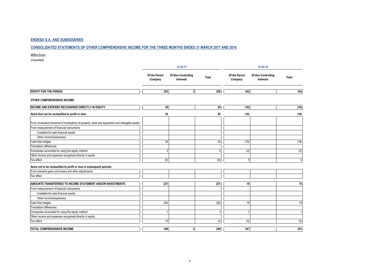#### **CONSOLIDATED STATEMENTS OF OTHER COMPREHENSIVE INCOME FOR THE THREE MONTHS ENDED 31 MARCH 2017 AND 2016**

*Million Euros*

|                                                                                                   |                          | 31.03.17                               |                |                          | 31.03.16                               |              |  |  |
|---------------------------------------------------------------------------------------------------|--------------------------|----------------------------------------|----------------|--------------------------|----------------------------------------|--------------|--|--|
|                                                                                                   | Of the Parent<br>Company | Of Non-Controlling<br><b>Interests</b> | <b>Total</b>   | Of the Parent<br>Company | Of Non-Controlling<br><b>Interests</b> | <b>Total</b> |  |  |
| <b>PROFIT FOR THE PERIOD</b>                                                                      | 253                      | 3 <sup>1</sup>                         | 256            | 342                      |                                        | 342          |  |  |
| <b>OTHER COMPREHENSIVE INCOME:</b>                                                                |                          |                                        |                |                          |                                        |              |  |  |
| INCOME AND EXPENSE RECOGNISED DIRECTLY IN EQUITY                                                  | 20                       |                                        | 20             | (16)                     |                                        | (16)         |  |  |
| Items that can be reclassified to profit or loss:                                                 | 20                       |                                        | 20             | (16)                     |                                        | (16)         |  |  |
| From revaluation/(reversal of revaluation) of property, plant and equipment and intangible assets |                          |                                        |                |                          |                                        |              |  |  |
| From measurement of financial instruments                                                         |                          |                                        |                |                          |                                        |              |  |  |
| Available-for-sale financial assets                                                               |                          |                                        |                |                          |                                        |              |  |  |
| Other income/(expenses)                                                                           |                          |                                        |                |                          |                                        |              |  |  |
| Cash flow hedges                                                                                  | 24                       |                                        | 24             | (19)                     |                                        | (19)         |  |  |
| <b>Translation differences</b>                                                                    |                          |                                        |                |                          |                                        |              |  |  |
| Companies accounted for using the equity method                                                   | $\overline{2}$           |                                        | $\overline{2}$ | (2)                      |                                        | (2)          |  |  |
| Other income and expenses recognised directly in equity                                           |                          |                                        |                |                          |                                        |              |  |  |
| Tax effect                                                                                        | (6)                      |                                        | (6)            | 5                        |                                        | 5            |  |  |
| Items not to be reclassified to profit or loss in subsequent periods:                             |                          |                                        |                |                          |                                        |              |  |  |
| From actuarial gains and losses and other adjustments                                             |                          |                                        |                |                          |                                        |              |  |  |
| Tax effect                                                                                        |                          |                                        |                |                          |                                        |              |  |  |
| AMOUNTS TRANSFERRED TO INCOME STATEMENT AND/OR INVESTMENTS                                        | (27)                     |                                        | (27)           | 15                       |                                        | 15           |  |  |
| From measurement of financial instruments                                                         |                          |                                        |                |                          |                                        |              |  |  |
| Available-for-sale financial assets                                                               |                          |                                        |                |                          |                                        |              |  |  |
| Other income/(expenses)                                                                           |                          |                                        |                |                          |                                        |              |  |  |
| Cash flow hedges                                                                                  | (38)                     |                                        | (38)           | 19                       |                                        | 19           |  |  |
| <b>Translation differences</b>                                                                    |                          |                                        |                |                          |                                        |              |  |  |
| Companies accounted for using the equity method                                                   |                          |                                        |                |                          |                                        |              |  |  |
| Other income and expenses recognised directly in equity                                           |                          |                                        |                |                          |                                        |              |  |  |
| Tax effect                                                                                        | 10                       |                                        | 10             | (5)                      |                                        | (5)          |  |  |
| <b>TOTAL COMPREHENSIVE INCOME</b>                                                                 | 246                      | 3 <sup>1</sup>                         | 249            | 341                      |                                        | 341          |  |  |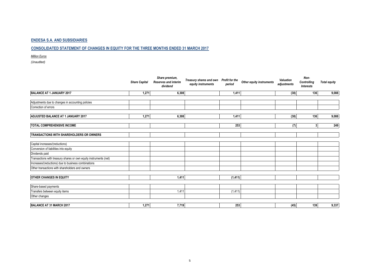### **CONSOLIDATED STATEMENT OF CHANGES IN EQUITY FOR THE THREE MONTHS ENDED 31 MARCH 2017**

*Million Euros*

|                                                                   | <b>Share Capital</b> | Share premium,<br><b>Reserves and interim</b><br>dividend | Treasury shares and own<br>equity instruments | Profit for the<br>period | Other equity instruments | Valuation<br>adjustments | Non-<br>Controlling<br>Interests | <b>Total equity</b> |
|-------------------------------------------------------------------|----------------------|-----------------------------------------------------------|-----------------------------------------------|--------------------------|--------------------------|--------------------------|----------------------------------|---------------------|
| BALANCE AT 1 JANUARY 2017                                         | 1,271                | 6,308                                                     |                                               | 1,411                    |                          | (38)                     | 136                              | 9,088               |
| Adjustments due to changes in accounting policies                 |                      |                                                           |                                               |                          |                          |                          |                                  |                     |
| Correction of errors                                              |                      |                                                           |                                               |                          |                          |                          |                                  |                     |
| ADJUSTED BALANCE AT 1 JANUARY 2017                                | 1,271                | 6,308                                                     |                                               | 1,411                    |                          | (38)                     | 136                              | 9,088               |
| <b>TOTAL COMPREHENSIVE INCOME</b>                                 |                      |                                                           |                                               | 253                      |                          | (7)                      | 3 <sup>1</sup>                   | 249                 |
| <b>TRANSACTIONS WITH SHAREHOLDERS OR OWNERS</b>                   |                      |                                                           |                                               |                          |                          |                          |                                  |                     |
| Capital increases/(reductions)                                    |                      |                                                           |                                               |                          |                          |                          |                                  |                     |
| Conversion of liabilities into equity                             |                      |                                                           |                                               |                          |                          |                          |                                  |                     |
| Dividends paid                                                    |                      |                                                           |                                               |                          |                          |                          |                                  |                     |
| Transactions with treasury shares or own equity instruments (net) |                      |                                                           |                                               |                          |                          |                          |                                  |                     |
| Increases/(reductions) due to business combinations               |                      |                                                           |                                               |                          |                          |                          |                                  |                     |
| Other transactions with shareholders and owners                   |                      |                                                           |                                               |                          |                          |                          |                                  |                     |
| <b>OTHER CHANGES IN EQUITY</b>                                    |                      | 1,411                                                     |                                               | (1, 411)                 |                          |                          |                                  |                     |
| Share-based payments                                              |                      |                                                           |                                               |                          |                          |                          |                                  |                     |
| Transfers between equity items                                    |                      | 1,411                                                     |                                               | (1, 411)                 |                          |                          |                                  |                     |
| Other changes                                                     |                      |                                                           |                                               |                          |                          |                          |                                  |                     |
| BALANCE AT 31 MARCH 2017                                          | 1,271                | 7,719                                                     |                                               | 253                      |                          | (45)                     | 139                              | 9,337               |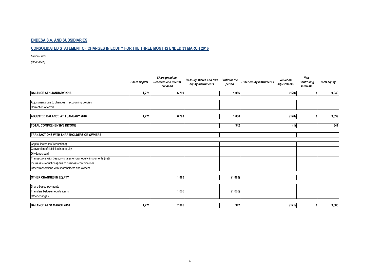### **CONSOLIDATED STATEMENT OF CHANGES IN EQUITY FOR THE THREE MONTHS ENDED 31 MARCH 2016**

*Million Euros*

|                                                                   | <b>Share Capital</b> | Share premium,<br><b>Reserves and interim</b><br>dividend | Treasury shares and own<br>equity instruments | <b>Profit for the</b><br>period | Other equity instruments | Valuation<br>adjustments | Non-<br>Controlling<br>Interests | <b>Total equity</b> |
|-------------------------------------------------------------------|----------------------|-----------------------------------------------------------|-----------------------------------------------|---------------------------------|--------------------------|--------------------------|----------------------------------|---------------------|
| BALANCE AT 1 JANUARY 2016                                         | 1,271                | 6,799                                                     |                                               | 1.086                           |                          | (120)                    | 3 <sup>1</sup>                   | 9,039               |
|                                                                   |                      |                                                           |                                               |                                 |                          |                          |                                  |                     |
| Adjustments due to changes in accounting policies                 |                      |                                                           |                                               |                                 |                          |                          |                                  |                     |
| Correction of errors                                              |                      |                                                           |                                               |                                 |                          |                          |                                  |                     |
| ADJUSTED BALANCE AT 1 JANUARY 2016                                | 1,271                | 6,799                                                     |                                               | 1,086                           |                          | (120)                    | 3 <sup>1</sup>                   | 9,039               |
| <b>TOTAL COMPREHENSIVE INCOME</b>                                 |                      |                                                           |                                               | 342                             |                          | (1)                      |                                  | 341                 |
| <b>TRANSACTIONS WITH SHAREHOLDERS OR OWNERS</b>                   |                      |                                                           |                                               |                                 |                          |                          |                                  |                     |
| Capital increases/(reductions)                                    |                      |                                                           |                                               |                                 |                          |                          |                                  |                     |
| Conversion of liabilities into equity                             |                      |                                                           |                                               |                                 |                          |                          |                                  |                     |
| Dividends paid                                                    |                      |                                                           |                                               |                                 |                          |                          |                                  |                     |
| Transactions with treasury shares or own equity instruments (net) |                      |                                                           |                                               |                                 |                          |                          |                                  |                     |
| Increases/(reductions) due to business combinations               |                      |                                                           |                                               |                                 |                          |                          |                                  |                     |
| Other transactions with shareholders and owners                   |                      |                                                           |                                               |                                 |                          |                          |                                  |                     |
| <b>OTHER CHANGES IN EQUITY</b>                                    |                      | 1,086                                                     |                                               | (1,086)                         |                          |                          |                                  |                     |
|                                                                   |                      |                                                           |                                               |                                 |                          |                          |                                  |                     |
| Share-based payments                                              |                      |                                                           |                                               |                                 |                          |                          |                                  |                     |
| Transfers between equity items                                    |                      | 1,086                                                     |                                               | (1,086)                         |                          |                          |                                  |                     |
| Other changes                                                     |                      |                                                           |                                               |                                 |                          |                          |                                  |                     |
| BALANCE AT 31 MARCH 2016                                          | 1,271                | 7,885                                                     |                                               | 342                             |                          | (121)                    | 3 <sup>1</sup>                   | 9,380               |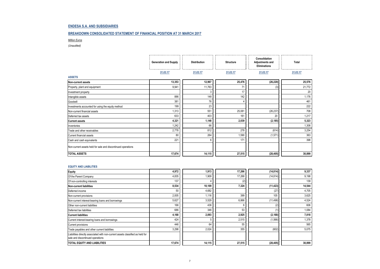#### **BREAKDOWN CONSOLIDATED STATEMENT OF FINANCIAL POSITION AT 31 MARCH 2017**

*Million Euros*

*(Unaudited)*

|                                                              | <b>Generation and Supply</b> | <b>Distribution</b> | <b>Structure</b> | Consolidation<br><b>Adjustments and</b><br><b>Eliminations</b> | Total    |
|--------------------------------------------------------------|------------------------------|---------------------|------------------|----------------------------------------------------------------|----------|
|                                                              | 31.03.17                     | 31.03.17            | 31.03.17         | 31.03.17                                                       | 31.03.17 |
| <b>ASSETS</b>                                                |                              |                     |                  |                                                                |          |
| Non-current assets                                           | 13,353                       | 12,967              | 25,476           | (26, 220)                                                      | 25,576   |
| Property, plant and equipment                                | 9,941                        | 11,763              | 71               | (3)                                                            | 21,772   |
| Investment property                                          |                              | 3                   | 17               |                                                                | 20       |
| Intangible assets                                            | 886                          | 148                 | 142              |                                                                | 1,176    |
| Goodwill                                                     | 381                          | 76                  |                  |                                                                | 461      |
| Investments accounted for using the equity method            | 199                          | 23                  |                  |                                                                | 222      |
| Non-current financial assets                                 | 1,313                        | 551                 | 25,081           | (26, 237)                                                      | 708      |
| Deferred tax assets                                          | 633                          | 403                 | 161              | 20                                                             | 1,217    |
| <b>Current assets</b>                                        | 4,321                        | 1,148               | 2,039            | (2, 185)                                                       | 5,323    |
| Inventories                                                  | 1,242                        | 66                  |                  |                                                                | 1,308    |
| Trade and other receivables                                  | 2,778                        | 812                 | 278              | (614)                                                          | 3,254    |
| Current financial assets                                     | 80                           | 264                 | 1,590            | (1,571)                                                        | 363      |
| Cash and cash equivalents                                    | 221                          | 6                   | 171              |                                                                | 398      |
| Non-current assets held for sale and discontinued operations |                              |                     |                  |                                                                |          |
| <b>TOTAL ASSETS</b>                                          | 17,674                       | 14,115              | 27,515           | (28, 405)                                                      | 30,899   |

#### **EQUITY AND LIABILITIES**

| Equity                                                                                                             | 4,972  | 1,913  | 17,266 | (14, 814) | 9,337  |
|--------------------------------------------------------------------------------------------------------------------|--------|--------|--------|-----------|--------|
| Of the Parent Company                                                                                              | 4,835  | 1,909  | 17,268 | (14, 814) | 9,198  |
| Of non-controlling interests                                                                                       | 137    |        | (2)    |           | 139    |
| Non-current liabilities                                                                                            | 8,534  | 10,109 | 7,324  | (11, 423) | 14,544 |
| Deferred income                                                                                                    | 50     | 4,682  |        | (27)      | 4,705  |
| Non-current provisions                                                                                             | 2,005  | 1,116  | 399    | 105       | 3,625  |
| Non-current interest-bearing loans and borrowings                                                                  | 5,627  | 3,529  | 6,866  | (11, 498) | 4,524  |
| Other non-current liabilities                                                                                      | 166    | 436    |        | (2)       | 606    |
| Deferred tax liabilities                                                                                           | 686    | 346    | 53     |           | 1,084  |
| <b>Current liabilities</b>                                                                                         | 4,168  | 2,093  | 2,925  | (2, 168)  | 7,018  |
| Current interest-bearing loans and borrowings                                                                      | 424    |        | 2,515  | (1, 566)  | 1,378  |
| <b>Current provisions</b>                                                                                          | 446    | 64     | 55     |           | 565    |
| Trade payables and other current liabilities                                                                       | 3,298  | 2,024  | 355    | (602)     | 5,075  |
| Liabilities directly associated with non-current assets classified as held for<br>sale and discontinued operations |        |        |        |           |        |
| <b>TOTAL EQUITY AND LIABILITIES</b>                                                                                | 17,674 | 14,115 | 27,515 | (28, 405) | 30,899 |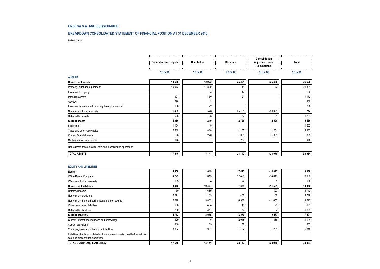#### **BREAKDOWN CONSOLIDATED STATEMENT OF FINANCIAL POSITION AT 31 DECEMBER 2016**

*Million Euros*

|                                                              | <b>Generation and Supply</b> | <b>Distribution</b> | <b>Structure</b> | Consolidation<br>Adjustments and<br><b>Eliminations</b> | Total    |
|--------------------------------------------------------------|------------------------------|---------------------|------------------|---------------------------------------------------------|----------|
|                                                              | 31.12.16                     | 31.12.16            | 31.12.16         | 31.12.16                                                | 31.12.16 |
| <b>ASSETS</b>                                                |                              |                     |                  |                                                         |          |
| Non-current assets                                           | 13,566                       | 12,922              | 25,421           | (26, 380)                                               | 25,529   |
| Property, plant and equipment                                | 10,073                       | 11,809              | 11               | (2)                                                     | 21,891   |
| Investment property                                          |                              | 3                   | 17               |                                                         | 20       |
| Intangible assets                                            | 901                          | 150                 | 121              |                                                         | 1,172    |
| Goodwill                                                     | 298                          | $\overline{2}$      |                  |                                                         | 300      |
| Investments accounted for using the equity method            | 186                          | 22                  |                  |                                                         | 208      |
| Non-current financial assets                                 | 1,480                        | 528                 | 25,105           | (26, 399)                                               | 714      |
| Deferred tax assets                                          | 628                          | 408                 | 167              | 21                                                      | 1,224    |
| <b>Current assets</b>                                        | 4,080                        | 1,219               | 2,726            | (2, 590)                                                | 5,435    |
| Inventories                                                  | 1,154                        | 48                  |                  |                                                         | 1,202    |
| Trade and other receivables                                  | 2,680                        | 888                 | 1,135            | (1,251)                                                 | 3,452    |
| Current financial assets                                     | 68                           | 276                 | 1,358            | (1, 339)                                                | 363      |
| Cash and cash equivalents                                    | 178                          |                     | 233              |                                                         | 418      |
| Non-current assets held for sale and discontinued operations |                              |                     |                  |                                                         |          |
| <b>TOTAL ASSETS</b>                                          | 17,646                       | 14,141              | 28,147           | (28, 970)                                               | 30,964   |

#### **EQUITY AND LIABILITIES**

| <b>Equity</b>                                                                                                      | 4,858  | 1,619  | 17,423 | (14, 812) | 9,088  |
|--------------------------------------------------------------------------------------------------------------------|--------|--------|--------|-----------|--------|
| Of the Parent Company                                                                                              | 4,725  | 1,615  | 17,425 | (14, 813) | 8,952  |
| Of non-controlling interests                                                                                       | 133    |        | (2)    |           | 136    |
| <b>Non-current liabilities</b>                                                                                     | 8,015  | 10,467 | 7,454  | (11, 581) | 14,355 |
| Deferred income                                                                                                    | 50     | 4,689  |        | (27)      | 4,712  |
| Non-current provisions                                                                                             | 2,071  | 1,135  | 406    | 106       | 3,718  |
| Non-current interest-bearing loans and borrowings                                                                  | 5,028  | 3,862  | 6,986  | (11,653)  | 4,223  |
| Other non-current liabilities                                                                                      | 166    | 434    | 10     | (9)       | 601    |
| Deferred tax liabilities                                                                                           | 700    | 347    | 52     |           | 1,101  |
| <b>Current liabilities</b>                                                                                         | 4,773  | 2,055  | 3,270  | (2, 577)  | 7,521  |
| Current interest-bearing loans and borrowings                                                                      | 429    |        | 2,048  | (1, 338)  | 1,144  |
| Current provisions                                                                                                 | 440    | 69     | 58     |           | 567    |
| Trade payables and other current liabilities                                                                       | 3,904  | 1,981  | 1,164  | (1, 239)  | 5,810  |
| Liabilities directly associated with non-current assets classified as held for<br>sale and discontinued operations |        |        |        |           |        |
| TOTAL EQUITY AND LIABILITIES                                                                                       | 17,646 | 14,141 | 28,147 | (28, 970) | 30,964 |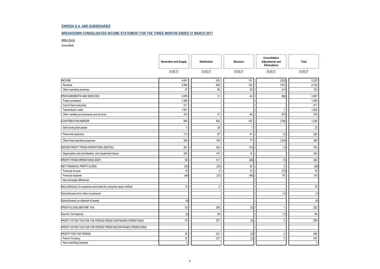#### **BREAKDOWN CONSOLIDATED INCOME STATEMENT FOR THE THREE MONTHS ENDED 31 MARCH 2017**

#### *Million Euros*

|                                                                      | <b>Generation and Supply</b> | <b>Distribution</b> | <b>Structure</b> | Consolidation<br>Adjustments and<br>Eliminations | Total    |
|----------------------------------------------------------------------|------------------------------|---------------------|------------------|--------------------------------------------------|----------|
|                                                                      | 31.03.17                     | 31.03.17            | 31.03.17         | 31.03.17                                         | 31.03.17 |
| <b>INCOME</b>                                                        | 4,641                        | 633                 | 151              | (202)                                            | 5,223    |
| Revenue                                                              | 4,594                        | 565                 | 122              | (161)                                            | 5,120    |
| Other operating revenues                                             | 47                           | 68                  | 29               | (41)                                             | 103      |
| PROCUREMENTS AND SERVICES                                            | 3,978                        | 31                  | 44               | (66)                                             | 3,987    |
| Power purchased                                                      | 1,496                        |                     |                  |                                                  | 1,496    |
| Cost of fuel consumed                                                | 511                          |                     |                  |                                                  | 511      |
| Transmission costs                                                   | 1,501                        |                     |                  | -1                                               | 1,502    |
| Other variable procurements and services                             | 470                          | 31                  | 44               | (67)                                             | 478      |
| CONTRIBUTION MARGIN                                                  | 663                          | 602                 | 107              | (136)                                            | 1,236    |
| Self-constructed assets                                              | 5                            | 26                  |                  |                                                  | 32       |
| Personnel expenses                                                   | 113                          | 67                  | 41               | (1)                                              | 220      |
| Other fixed operating expenses                                       | 294                          | 109                 | 77               | (134)                                            | 346      |
| GROSS PROFIT FROM OPERATIONS (EBITDA)                                | 261                          | 452                 | (10)             | (1)                                              | 702      |
| Depreciation and amortisation, and impairment losses                 | 205                          | 141                 | 16               |                                                  | 362      |
| PROFIT FROM OPERATIONS (EBIT)                                        | 56                           | 311                 | (26)             | (1)                                              | 340      |
| NET FINANCIAL PROFIT/(LOSS)                                          | (32)                         | (23)                | 24               | $\mathbf{3}$                                     | (28)     |
| Financial income                                                     | 16                           | $\overline{4}$      | 72               | (73)                                             | 19       |
| Financial expense                                                    | (48)                         | (27)                | (48)             | 76                                               | (47)     |
| Net exchange differences                                             |                              |                     |                  |                                                  |          |
| Net profit/(loss) of companies accounted for using the equity method | 13                           | $\overline{2}$      |                  |                                                  | 15       |
| Gains/(losses) from other investments                                |                              |                     |                  | (1)                                              | (1)      |
| Gains/(losses) on disposal of assets                                 | (4)                          |                     |                  |                                                  | (4)      |
| PROFIT/(LOSS) BEFORE TAX                                             | 33                           | 290                 | (2)              |                                                  | 322      |
| Income Tax Expense                                                   | (2)                          | 69                  |                  | (1)                                              | 66       |
| PROFIT AFTER TAX FOR THE PERIOD FROM CONTINUING OPERATIONS           | 35                           | 221                 | (2)              | $\overline{2}$                                   | 256      |
| PROFIT AFTER TAX FOR THE PERIOD FROM DISCONTINUED OPERATIONS         |                              |                     |                  |                                                  |          |
| PROFIT FOR THE PERIOD                                                | 35                           | 221                 | (2)              | $\overline{2}$                                   | 256      |
| Parent Company                                                       | 32                           | 221                 | (2)              | $\overline{2}$                                   | 253      |
| Non-controlling interests                                            | $\overline{3}$               |                     |                  |                                                  | 3        |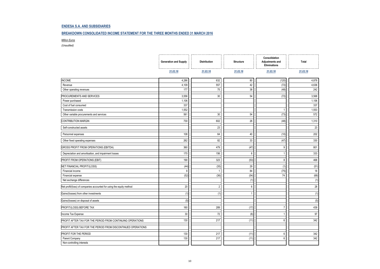#### **BREAKDOWN CONSOLIDATED INCOME STATEMENT FOR THE THREE MONTHS ENDED 31 MARCH 2016**

#### *Million Euros*

|                                                                      | <b>Generation and Supply</b> | <b>Distribution</b> | <b>Structure</b> | Consolidation<br>Adjustments and<br>Eliminations | Total    |
|----------------------------------------------------------------------|------------------------------|---------------------|------------------|--------------------------------------------------|----------|
|                                                                      | 31.03.16                     | 31.03.16            | 31.03.16         | 31.03.16                                         | 31.03.16 |
| <b>INCOME</b>                                                        | 4,286                        | 632                 | 80               | (120)                                            | 4,878    |
| Revenue                                                              | 4,109                        | 557                 | 42               | (72)                                             | 4,636    |
| Other operating revenues                                             | 177                          | 75                  | 38               | (48)                                             | 242      |
| PROCUREMENTS AND SERVICES                                            | 3,556                        | 30                  | 54               | (72)                                             | 3,568    |
| Power purchased                                                      | 1,106                        |                     |                  |                                                  | 1,106    |
| Cost of fuel consumed                                                | 337                          |                     |                  |                                                  | 337      |
| Transmission costs                                                   | 1,552                        |                     |                  | -1                                               | 1,553    |
| Other variable procurements and services                             | 561                          | 30                  | 54               | (73)                                             | 572      |
| CONTRIBUTION MARGIN                                                  | 730                          | 602                 | 26               | (48)                                             | 1,310    |
| Self-constructed assets                                              |                              | 23                  |                  |                                                  | 23       |
| Personnel expenses                                                   | 108                          | 64                  | 40               | (10)                                             | 202      |
| Other fixed operating expenses                                       | 262                          | 82                  | 33               | (47)                                             | 330      |
| GROSS PROFIT FROM OPERATIONS (EBITDA)                                | 360                          | 479                 | (47)             | 9                                                | 801      |
| Depreciation and amortisation, and impairment losses                 | 170                          | 156                 | $6\phantom{1}6$  | -1                                               | 333      |
| PROFIT FROM OPERATIONS (EBIT)                                        | 190                          | 323                 | (53)             | 8                                                | 468      |
| NET FINANCIAL PROFIT/(LOSS)                                          | (44)                         | (35)                | 29               | (1)                                              | (51)     |
| Financial income                                                     | 8                            | $\overline{1}$      | 84               | (75)                                             | 18       |
| Financial expense                                                    | (52)                         | (36)                | (54)             | 74                                               | (68)     |
| Net exchange differences                                             |                              |                     | (1)              |                                                  | (1)      |
| Net profit/(loss) of companies accounted for using the equity method | 20                           | $\overline{2}$      | $\,6\,$          |                                                  | 28       |
| Gains/(losses) from other investments                                | (1)                          | (1)                 |                  |                                                  | (1)      |
| Gains/(losses) on disposal of assets                                 | (5)                          |                     |                  |                                                  | (5)      |
| PROFIT/(LOSS) BEFORE TAX                                             | 160                          | 289                 | (17)             |                                                  | 439      |
| Income Tax Expense                                                   | 30                           | 72                  | (6)              |                                                  | 97       |
| PROFIT AFTER TAX FOR THE PERIOD FROM CONTINUING OPERATIONS           | 130                          | 217                 | (11)             | 6                                                | 342      |
| PROFIT AFTER TAX FOR THE PERIOD FROM DISCONTINUED OPERATIONS         |                              |                     |                  |                                                  |          |
| PROFIT FOR THE PERIOD                                                | 130                          | 217                 | (11)             | 6                                                | 342      |
| Parent Company                                                       | 130                          | 217                 | (11)             | 6                                                | 342      |
| Non-controlling interests                                            |                              |                     |                  |                                                  |          |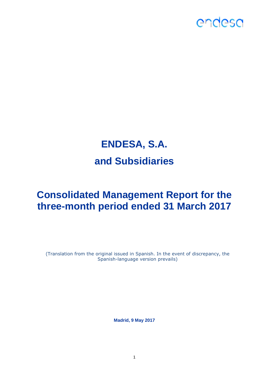

## **ENDESA, S.A. and Subsidiaries**

## **Consolidated Management Report for the three-month period ended 31 March 2017**

(Translation from the original issued in Spanish. In the event of discrepancy, the Spanish-language version prevails)

**Madrid, 9 May 2017**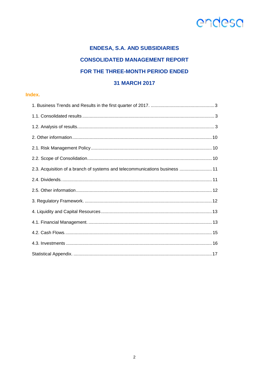## **ENDESA, S.A. AND SUBSIDIARIES CONSOLIDATED MANAGEMENT REPORT** FOR THE THREE-MONTH PERIOD ENDED **31 MARCH 2017**

## Index.

| 2.3. Acquisition of a branch of systems and telecommunications business  11 |
|-----------------------------------------------------------------------------|
|                                                                             |
|                                                                             |
|                                                                             |
|                                                                             |
|                                                                             |
|                                                                             |
|                                                                             |
|                                                                             |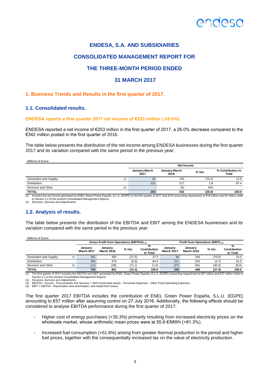

## **CONSOLIDATED MANAGEMENT REPORT FOR**

## **THE THREE-MONTH PERIOD ENDED**

## **31 MARCH 2017**

### <span id="page-15-0"></span>**1. Business Trends and Results in the first quarter of 2017.**

### <span id="page-15-1"></span>**1.1. Consolidated results.**

#### **ENDESA reports a first quarter 2017 net income of €253 million (-26.0%).**

ENDESA reported a net income of €253 million in the first quarter of 2017, a 26.0% decrease compared to the €342 million posted in the first quarter of 2016.

The table below presents the distribution of the net income among ENDESA businesses during the first quarter 2017 and its variation compared with the same period in the previous year:

| Millions of Euros             |                       | <b>Net Income</b>     |        |                            |
|-------------------------------|-----------------------|-----------------------|--------|----------------------------|
|                               | January-March<br>2017 | January-March<br>2016 | % Var. | % Contribution to<br>Total |
| Generation and Suppliy<br>(1) | 32                    | 130                   | (75.4) | 12.6                       |
| <b>Distribution</b>           | 221                   | 217                   | 1.8    | 87.4                       |
| Structure and Other<br>(2)    |                       | (5)                   | N/A    |                            |
| <b>TOTAL</b>                  | 253                   | 342                   | (26.0) | 100.0                      |

(1) Includes the net income generated by ENEL Green Power España, S.L.U. (EGPE) in the first quarter of 2017 and 2016 amounting respectively to €18 million and €4 million (refer to Section 2.2 of the present Consolidated Management Report).

<span id="page-15-2"></span>(2) Structure, Services and Adjustments.

### **1.2. Analysis of results.**

The table below presents the distribution of the EBITDA and EBIT among the ENDESA businesses and its variation compared with the same period in the previous year:

Millions of Euros

|                        |     |                               | Gross Profit from Operations (EBITDA) (3) |        |                               | Profit from Operations (EBIT) (4) |                               |        |                               |  |
|------------------------|-----|-------------------------------|-------------------------------------------|--------|-------------------------------|-----------------------------------|-------------------------------|--------|-------------------------------|--|
|                        |     | January-<br><b>March 2017</b> | Januarv-<br><b>March 2016</b>             | % Var. | %<br>Contribution<br>to Total | January-<br><b>March 2017</b>     | January-<br><b>March 2016</b> | % Var. | %<br>Contribution<br>to Total |  |
| Generation and Suppliy | (1) | 261                           | 360                                       | (27.5) | 37.2                          | 56                                | 190                           | (70.5) | 16.5                          |  |
| <b>Distribution</b>    |     | 452                           | 479                                       | (5.6)  | 64.4                          | 311                               | 323                           | (3.7)  | 91.5                          |  |
| Structure and Other    | (2) | (11)                          | (38)                                      | (71.1) | (1.6)                         | (27)                              | (45)                          | (40.0) | (8.0)                         |  |
| <b>TOTAL</b>           |     | 702                           | 801                                       | (12.4) | 100.0                         | 340                               | 468                           | (27.4) | 100.0                         |  |

(1) The first quarter of 2017 includes the EBITDA and EBIT generated by ENEL Green Power España, S.L.U. (EGPE) amounting respectively to €57 million and €27 million (refer to Section 2.2 of the present Consolidated Management Report).

(2) Structure, Services and Adjustments.

(3) EBITDA = Income - Procurements and Services + Self-constructed assets - Personnel Expenses - Other Fixed Operating Expenses. (3) EBITDA = Income - Procurements and Services + Services States (4) EBIT = EBITDA - Depreciation and amortisation, and impairment losses.

The first quarter 2017 EBITDA includes the contribution of ENEL Green Power España, S.L.U. (EGPE) amounting to €57 million after assuming control on 27 July 2016. Additionally, the following effects should be considered to analyse EBITDA performance during the first quarter of 2017:

- Higher cost of energy purchases (+35.3%) primarily resulting from increased electricity prices on the wholesale market, whose arithmetic mean prices were at 55.6 €/MWh (+81.3%).
- Increased fuel consumption (+51.6%) arising from greater thermal production in the period and higher fuel prices, together with the consequentially increased tax on the value of electricity production.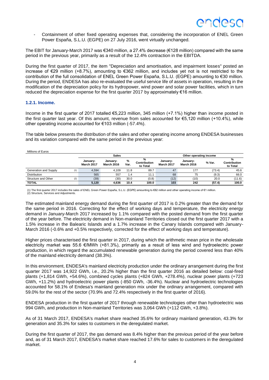Containment of other fixed operating expenses that, considering the incorporation of ENEL Green Power España, S.L.U. (EGPE) on 27 July 2016, went virtually unchanged.

The EBIT for January-March 2017 was €340 million, a 27.4% decrease (€128 million) compared with the same period in the previous year, primarily as a result of the 12.4% contraction in the EBITDA.

During the first quarter of 2017, the item "Depreciation and amortisation, and impairment losses" posted an increase of €29 million (+8.7%), amounting to €362 million, and includes yet not is not restricted to the contribution of the full consolidation of ENEL Green Power España, S.L.U. (EGPE) amounting to €30 million. During the period, ENDESA has also re-evaluated the useful service life of assets in operation, resulting in the modification of the depreciation policy for its hydropower, wind power and solar power facilities, which in turn reduced the depreciation expense for the first quarter 2017 by approximately  $\epsilon$ 16 million.

### **1.2.1. Income.**

Income in the first quarter of 2017 totalled €5,223 million, 345 million (+7.1%) higher than income posted in the first quarter last year. Of this amount, revenue from sales accounted for €5,120 million (+10.4%), while other operating income accounted for €103 million (-57.4%).

The table below presents the distribution of the sales and other operating income among ENDESA businesses and its variation compared with the same period in the previous year:

Millions of Euros

|                       |     | <b>Sales</b>                  |                               |           | Other operating income        |                               |                               |        |                               |
|-----------------------|-----|-------------------------------|-------------------------------|-----------|-------------------------------|-------------------------------|-------------------------------|--------|-------------------------------|
|                       |     | January-<br><b>March 2017</b> | Januarv-<br><b>March 2016</b> | %<br>Var. | %<br>Contribution<br>to Total | Januarv-<br><b>March 2017</b> | January-<br><b>March 2016</b> | % Var. | %<br>Contribution<br>to Total |
| Generation and Supply | (1) | 4.594                         | 4.109                         | 11.8      | 89.7                          | 47                            | 177                           | (73.4) | 45.6                          |
| <b>Distribution</b>   |     | 565                           | 557                           | 1.4       | 11.1                          | 68                            | 75                            | (9.3)  | 66.0                          |
| Structure and Other   | (2) | (39)                          | (30)                          | 30.0      | (0.8)                         | (12)                          | (10)                          | 20.0   | (11.6)                        |
| <b>TOTAL</b>          |     | 5,120                         | 4.636                         | 10.4      | 100.0                         | 103                           | 242                           | (57.4) | 100.0                         |

(1) The first quarter 2017 includes the sales of ENEL Green Power España, S.L.U. (EGPE) amounting to €82 million and other operating income of €1 million.

(2) Structure, Services and Adjustments.

The estimated mainland energy demand during the first quarter of 2017 is 0.2% greater than the demand for the same period in 2016. Correcting for the effect of working days and temperature, the electricity energy demand in January-March 2017 increased by 1.1% compared with the posted demand from the first quarter of the year before. The electricity demand in Non-mainland Territories closed out the first quarter 2017 with a 1.5% increase in the Balearic Islands and a 1.7% increase in the Canary Islands compared with January-March 2016 (-0.6% and +0.5% respectively, corrected for the effect of working days and temperature).

Higher prices characterised the first quarter in 2017, during which the arithmetic mean price in the wholesale electricity market was 55.6 €/MWh (+81.3%), primarily as a result of less wind and hydroelectric power production, in which regard the accumulated renewable generation during the period covered less than 40% of the mainland electricity demand (38.3%).

In this environment, ENDESA's mainland electricity production under the ordinary arrangement during the first quarter 2017 was 14,922 GWh, i.e., 20.2% higher than the first quarter 2016 as detailed below: coal-fired plants (+1,814 GWh, +54.6%), combined cycles plants (+824 GWh, +278.4%), nuclear power plants (+723 GWh, +11.2%) and hydroelectric power plants (-850 GWh, -36.4%). Nuclear and hydroelectric technologies accounted for 58.1% of Endesa's mainland generation mix under the ordinary arrangement, compared with 59.0% for the rest of the sector (70.9% and 72.4% respectively in the first quarter of 2016).

ENDESA production in the first quarter of 2017 through renewable technologies other than hydroelectric was 994 GWh, and production in Non-mainland Territories was 3,064 GWh (+112 GWh, +3.8%).

As of 31 March 2017, ENDESA's market share reached 35.6% for ordinary mainland generation, 43.3% for generation and 35.3% for sales to customers in the deregulated market.

During the first quarter of 2017, the gas demand was 8.4% higher than the previous period of the year before and, as of 31 March 2017, ENDESA's market share reached 17.6% for sales to customers in the deregulated market.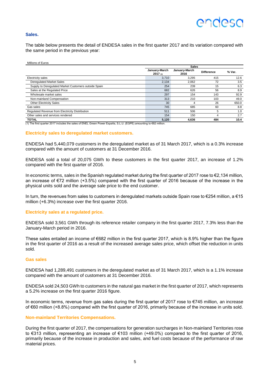## ANNASI

#### **Sales.**

The table below presents the detail of ENDESA sales in the first quarter 2017 and its variation compared with the same period in the previous year:

|                                                      |                          | <b>Sales</b>          |                   |        |  |  |
|------------------------------------------------------|--------------------------|-----------------------|-------------------|--------|--|--|
|                                                      | January-March<br>2017(1) | January-March<br>2016 | <b>Difference</b> | % Var. |  |  |
| Electricity sales                                    | 3,710                    | 3.295                 | 415               | 12.6   |  |  |
| <b>Deregulated Market Sales</b>                      | 2.134                    | 2.062                 | 72                | 3.5    |  |  |
| Supply to Deregulated Market Customers outside Spain | 254                      | 239                   | 15                | 6.3    |  |  |
| Sales at the Regulated Price                         | 682                      | 626                   | 56                | 8.9    |  |  |
| Wholesale market sales                               | 297                      | 154                   | 143               | 92.9   |  |  |
| Non-mainland Compensation                            | 313                      | 210                   | 103               | 49.0   |  |  |
| <b>Other Electricity Sales</b>                       | 30                       | 4                     | 26                | 650.0  |  |  |
| Gas sales                                            | 745                      | 685                   | 60                | 8.8    |  |  |
| Regulated Revenue from Electricity Distribution      | 511                      | 506                   | 5                 | 1.0    |  |  |
| Other sales and services rendered                    | 154                      | 150                   | 4                 | 2.7    |  |  |
| <b>TOTAL</b>                                         | 5,120                    | 4,636                 | 484               | 10.4   |  |  |

(1) The first quarter 2017 includes the sales of ENEL Green Power España, S.L.U. (EGPE) amounting to €82 million.

#### **Electricity sales to deregulated market customers.**

ENDESA had 5,440,079 customers in the deregulated market as of 31 March 2017, which is a 0.3% increase compared with the amount of customers at 31 December 2016.

ENDESA sold a total of 20,075 GWh to these customers in the first quarter 2017, an increase of 1.2% compared with the first quarter of 2016.

In economic terms, sales in the Spanish regulated market during the first quarter of 2017 rose to €2,134 million, an increase of €72 million (+3.5%) compared with the first quarter of 2016 because of the increase in the physical units sold and the average sale price to the end customer.

In turn, the revenues from sales to customers in deregulated markets outside Spain rose to €254 million, a €15 million (+6.3%) increase over the first quarter 2016.

#### **Electricity sales at a regulated price.**

ENDESA sold 3,561 GWh through its reference retailer company in the first quarter 2017, 7.3% less than the January-March period in 2016.

These sales entailed an income of €682 million in the first quarter 2017, which is 8.9% higher than the figure in the first quarter of 2016 as a result of the increased average sales price, which offset the reduction in units sold.

#### **Gas sales**

ENDESA had 1,289,491 customers in the deregulated market as of 31 March 2017, which is a 1.1% increase compared with the amount of customers at 31 December 2016.

ENDESA sold 24,503 GWh to customers in the natural gas market in the first quarter of 2017, which represents a 5.2% increase on the first quarter 2016 figure.

In economic terms, revenue from gas sales during the first quarter of 2017 rose to €745 million, an increase of €60 million (+8.8%) compared with the first quarter of 2016, primarily because of the increase in units sold.

#### **Non-mainland Territories Compensations.**

During the first quarter of 2017, the compensations for generation surcharges in Non-mainland Territories rose to €313 million, representing an increase of €103 million (+49.0%) compared to the first quarter of 2016, primarily because of the increase in production and sales, and fuel costs because of the performance of raw material prices.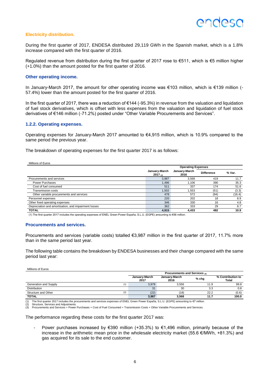### **Electricity distribution.**

During the first quarter of 2017, ENDESA distributed 29,119 GWh in the Spanish market, which is a 1.8% increase compared with the first quarter of 2016.

Regulated revenue from distribution during the first quarter of 2017 rose to €511, which is €5 million higher (+1.0%) than the amount posted for the first quarter of 2016.

### **Other operating income.**

In January-March 2017, the amount for other operating income was €103 million, which is €139 million (- 57.4%) lower than the amount posted for the first quarter of 2016.

In the first quarter of 2017, there was a reduction of €144 (-95.3%) in revenue from the valuation and liquidation of fuel stock derivatives, which is offset with less expenses from the valuation and liquidation of fuel stock derivatives of €146 million (-71.2%) posted under "Other Variable Procurements and Services".

#### **1.2.2. Operating expenses.**

Operating expenses for January-March 2017 amounted to €4,915 million, which is 10.9% compared to the same period the previous year.

The breakdown of operating expenses for the first quarter 2017 is as follows:

| Millions of Euros                                    |                          |                           |                   |        |  |  |  |
|------------------------------------------------------|--------------------------|---------------------------|-------------------|--------|--|--|--|
|                                                      |                          | <b>Operating Expenses</b> |                   |        |  |  |  |
|                                                      | January-March<br>2017(1) | January-March<br>2016     | <b>Difference</b> | % Var. |  |  |  |
| Procurements and services                            | 3,987                    | 3,568                     | 419               | 11.7   |  |  |  |
| <b>Power Purchases</b>                               | 1,496                    | 1,106                     | 390               | 35.3   |  |  |  |
| Cost of fuel consumed                                | 511                      | 337                       | 174               | 51.6   |  |  |  |
| <b>Transmission costs</b>                            | 1,502                    | 1,553                     | (51)              | (3.3)  |  |  |  |
| Other variable procurements and services             | 478                      | 572                       | (94)              | (16.4) |  |  |  |
| Personnel expenses                                   | 220                      | 202                       | 18                | 8.9    |  |  |  |
| Other fixed operating expenses                       | 346                      | 330                       | 16                | 4.8    |  |  |  |
| Depreciation and amortisation, and impairment losses | 362                      | 333                       | 29                | 8.7    |  |  |  |
| <b>TOTAL</b>                                         | 4,915                    | 4,433                     | 482               | 10.9   |  |  |  |

(1) The first quarter 2017 includes the operating expenses of ENEL Green Power España, S.L.U. (EGPE) amounting to €56 million.

#### **Procurements and services.**

Procurements and services (variable costs) totalled €3,987 million in the first quarter of 2017, 11.7% more than in the same period last year.

The following table contains the breakdown by ENDESA businesses and their change compared with the same period last year:

| Millions of Euros            |                       |                               |         |                            |
|------------------------------|-----------------------|-------------------------------|---------|----------------------------|
|                              |                       | Procurements and Services (3) |         |                            |
|                              | January-March<br>2017 | January-March<br>2016         | $%$ chg | % Contribution to<br>Total |
| Generation and Supply<br>(1) | 3,978                 | 3.556                         | 11.9    | 99.8                       |
| <b>Distribution</b>          | 31                    | 30                            | 3.3     | 0.8                        |
| Structure and Other<br>(2)   | (22)                  | (18)                          | 22.2    | (0.6)                      |
| <b>TOTAL</b>                 | 3,987                 | 3,568                         | 11.7    | 100.0                      |

(1) The first quarter 2017 includes the procurements and services expenses of ENEL Green Power España, S.L.U. (EGPE) amounting to €7 million.

Structure, Services and Adjustments.

(3) Procurements and Services = Power Purchases + Cost of Fuel Consumed + Transmission Costs + Other Variable Procurements and Services.

The performance regarding these costs for the first quarter 2017 was:

Power purchases increased by  $€390$  million (+35.3%) to  $€1,496$  million, primarily because of the increase in the arithmetic mean price in the wholesale electricity market (55.6 €/MWh, +81.3%) and gas acquired for its sale to the end customer.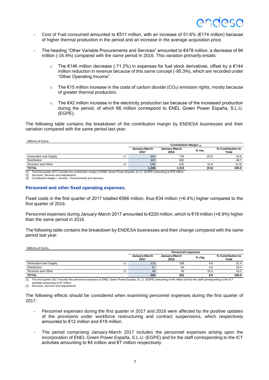- Cost of Fuel consumed amounted to  $€511$  million, with an increase of 51.6% ( $€174$  million) because of higher thermal production in the period and an increase in the average acquisition price.
- The heading "Other Variable Procurements and Services" amounted to €478 million, a decrease of 94 million (-16.4%) compared with the same period in 2016. This variation primarily entails:
	- o The €146 million decrease (-71.2%) in expenses for fuel stock derivatives, offset by a €144 million reduction in revenue because of this same concept (-95.3%), which are recorded under "Other Operating Income".
	- $\circ$  The €15 million increase in the costs of carbon dioxide (CO<sub>2</sub>) emission rights, mostly because of greater thermal production.
	- $\circ$  The  $\epsilon$ 42 million increase in the electricity production tax because of the increased production during the period, of which €6 million correspond to ENEL Green Power España, S.L.U. (EGPE).

The following table contains the breakdown of the contribution margin by ENDESA businesses and their variation compared with the same period last year:

Millions of Euros

|                                                                                                                               | Contribution Margin (3) |                       |        |                                   |
|-------------------------------------------------------------------------------------------------------------------------------|-------------------------|-----------------------|--------|-----------------------------------|
|                                                                                                                               | January-March<br>2017   | January-March<br>2016 | % Var. | % Contribution to<br><b>Total</b> |
| Generation and Supply<br>(1)                                                                                                  | 663                     | 730                   | (9.2)  | 53.6                              |
| <b>Distribution</b>                                                                                                           | 602                     | 602                   |        | 48.7                              |
| Structure and Other<br>(2)                                                                                                    | (29)                    | (22)                  | 31.8   | (2.3)                             |
| <b>TOTAL</b>                                                                                                                  | 1.236                   | 1.310                 | (5.6)  | 100.0                             |
| (4) The first supplex 0047 includes the contribution mornin of FNFL Organ Douge Foncile C LIL (FCDF) amounting to C70 million |                         |                       |        |                                   |

he first quarter 2017 includes the contribution margin of ENEL Green Power España, S.L.U. (EGPE) amounting to €76 million.

Structure, Services and Adjustments. (3) Contribution Margin = Income - Procurements and Services.

### **Personnel and other fixed operating expenses.**

Fixed costs in the first quarter of 2017 totalled €566 million, thus €34 million (+6.4%) higher compared to the first quarter of 2016.

Personnel expenses during January-March 2017 amounted to €220 million, which is €18 million (+8.9%) higher than the same period in 2016.

The following table contains the breakdown by ENDESA businesses and their change compared with the same period last year:

| Millions of Euros            |                       |                           |         |                                   |
|------------------------------|-----------------------|---------------------------|---------|-----------------------------------|
|                              |                       | <b>Personnel expenses</b> |         |                                   |
|                              | January-March<br>2017 | January-March<br>2016     | $%$ chg | % Contribution to<br><b>Total</b> |
| Generation and Supply<br>(1) | 113                   | 108                       | 4.6     | 51.4                              |
| <b>Distribution</b>          | 67                    | 64                        | 4.6     | 30.4                              |
| Structure and Other<br>(2)   | 40                    | 30                        | 33.3    | 18.2                              |
| <b>TOTAL</b>                 | 220                   | 202                       | 8.9     | 100.0                             |

(1) The first quarter 2017 includes the personnel expenses of ENEL Green Power España, S.L.U. (EGPE) amounting to €4 million and for the staff corresponding to the ICT activities amounting to €7 million. (2) Structure, Services and Adjustments.

The following effects should be considered when examining personnel expenses during the first quarter of 2017:

- Personnel expenses during the first quarter in 2017 and 2016 were affected by the positive updates of the provisions under workforce restructuring and contract suspensions, which respectively amounted to €12 million and €19 million.
- The period comprising January-March 2017 includes the personnel expenses arising upon the incorporation of ENEL Green Power España, S.L.U. (EGPE) and for the staff corresponding to the ICT activities amounting to €4 million and €7 million respectively.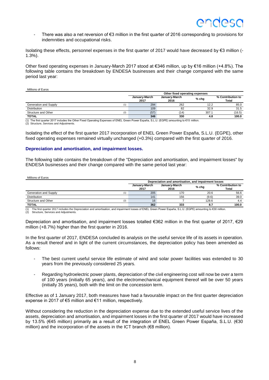There was also a net reversion of €3 million in the first quarter of 2016 corresponding to provisions for indemnities and occupational risks.

Isolating these effects, personnel expenses in the first quarter of 2017 would have decreased by €3 million (- 1.3%).

Other fixed operating expenses in January-March 2017 stood at €346 million, up by €16 million (+4.8%). The following table contains the breakdown by ENDESA businesses and their change compared with the same period last year:

| Millions of Euros |
|-------------------|
|-------------------|

|                                                                                                                                            | Other fixed operating expenses |                       |         |                            |  |
|--------------------------------------------------------------------------------------------------------------------------------------------|--------------------------------|-----------------------|---------|----------------------------|--|
|                                                                                                                                            | January-March<br>2017          | January-March<br>2016 | $%$ chg | % Contribution to<br>Total |  |
| Generation and Supply                                                                                                                      | 294                            | 262                   | 12.2    | 85.0                       |  |
| <b>Distribution</b>                                                                                                                        | 109                            | 82                    | 32.9    | 31.5                       |  |
| Structure and Other<br>(2)                                                                                                                 | (57)                           | (14                   | 307.1   | (16.5)                     |  |
| <b>TOTAL</b>                                                                                                                               | 346                            | 330                   | 4.8     | 100.0                      |  |
| (1) The first quarter 2017 includes the Other Fixed Operating Expenses of ENEL Green Power España, S.L.U. (EGPE) amounting to €15 million. |                                |                       |         |                            |  |

(2) Structure, Services and Adjustments.

Isolating the effect of the first quarter 2017 incorporation of ENEL Green Power España, S.L.U. (EGPE), other fixed operating expenses remained virtually unchanged (+0.3%) compared with the first quarter of 2016.

#### **Depreciation and amortisation, and impairment losses.**

The following table contains the breakdown of the "Depreciation and amortisation, and impairment losses" by ENDESA businesses and their change compared with the same period last year:

| Millions of Euros            |                                                      |                       |         |                            |  |  |
|------------------------------|------------------------------------------------------|-----------------------|---------|----------------------------|--|--|
|                              | Depreciation and amortisation, and impairment losses |                       |         |                            |  |  |
|                              | January-March<br>2017                                | January-March<br>2016 | $%$ chg | % Contribution to<br>Total |  |  |
| Generation and Supply<br>(1) | 205                                                  | 170                   | 20.6    | 56.6                       |  |  |
| <b>Distribution</b>          | 141                                                  | 156                   | (9.6)   | 39.0                       |  |  |
| Structure and Other<br>(2)   | 16                                                   |                       | 128.6   | 4.4                        |  |  |
| <b>TOTAL</b>                 | 362                                                  | 333                   | 8.7     | 100.0                      |  |  |

(1) The first quarter 2017 includes the Depreciation and amortisation, and impairment losses of ENEL Green Power España, S.L.U. (EGPE) amounting to €30 million. (2) Structure, Services and Adjustments.

Depreciation and amortisation, and impairment losses totalled €362 million in the first quarter of 2017, €29 million (+8.7%) higher than the first quarter in 2016.

In the first quarter of 2017, ENDESA concluded its analysis on the useful service life of its assets in operation. As a result thereof and in light of the current circumstances, the depreciation policy has been amended as follows:

- The best current useful service life estimate of wind and solar power facilities was extended to 30 years from the previously considered 25 years.
- Regarding hydroelectric power plants, depreciation of the civil engineering cost will now be over a term of 100 years (initially 65 years), and the electromechanical equipment thereof will be over 50 years (initially 35 years), both with the limit on the concession term.

Effective as of 1 January 2017, both measures have had a favourable impact on the first quarter depreciation expense in 2017 of €5 million and €11 million, respectively.

Without considering the reduction in the depreciation expense due to the extended useful service lives of the assets, depreciation and amortisation, and impairment losses in the first quarter of 2017 would have increased by 13.5% (€45 million) primarily as a result of the integration of ENEL Green Power España, S.L.U. (€30 million) and the incorporation of the assets in the ICT branch ( $\epsilon$ 8 million).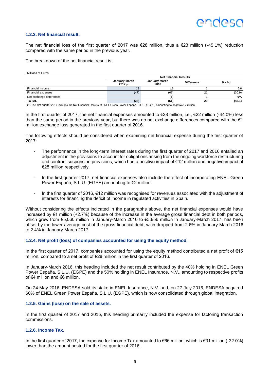## ANNASI

### **1.2.3. Net financial result.**

The net financial loss of the first quarter of 2017 was  $\epsilon$ 28 million, thus a  $\epsilon$ 23 million (-45.1%) reduction compared with the same period in the previous year.

The breakdown of the net financial result is:

Millions of Euros

|                          | <b>Net Financial Results</b> |                       |                   |         |  |
|--------------------------|------------------------------|-----------------------|-------------------|---------|--|
|                          | January-March<br>2017(1)     | January-March<br>2016 | <b>Difference</b> | $%$ chg |  |
| Financial income         | 19                           | 18                    |                   | 5.6     |  |
| Financial expenses       | (47)                         | (68)                  |                   | (30.9)  |  |
| Net exchange differences |                              |                       |                   | N/A     |  |
| TOTAL                    | (28)                         | (51)                  | 23                | (45.1)  |  |

(1) The first quarter 2017 includes the Net Financial Results of ENEL Green Power España, S.L.U. (EGPE) amounting to negative €2 million.

In the first quarter of 2017, the net financial expenses amounted to €28 million, i.e., €22 million (-44.0%) less than the same period in the previous year, but there was no net exchange differences compared with the  $\epsilon_1$ million exchange loss generated in the first quarter of 2016.

The following effects should be considered when examining net financial expense during the first quarter of 2017:

- The performance in the long-term interest rates during the first quarter of 2017 and 2016 entailed an adjustment in the provisions to account for obligations arising from the ongoing workforce restructuring and contract suspension provisions, which had a positive impact of €12 million and negative impact of €25 million respectively.
- In the first quarter 2017, net financial expenses also include the effect of incorporating ENEL Green Power España, S.L.U. (EGPE) amounting to €2 million.
- In the first quarter of 2016, €12 million was recognised for revenues associated with the adjustment of interests for financing the deficit of income in regulated activities in Spain.

Without considering the effects indicated in the paragraphs above, the net financial expenses would have increased by €1 million (+2.7%) because of the increase in the average gross financial debt in both periods, which grew from €5,060 million in January-March 2016 to €5,856 million in January-March 2017, has been offset by the lower average cost of the gross financial debt, wich dropped from 2.6% in January-March 2016 to 2.4% in January-March 2017.

#### **1.2.4. Net profit (loss) of companies accounted for using the equity method.**

In the first quarter of 2017, companies accounted for using the equity method contributed a net profit of €15 million, compared to a net profit of €28 million in the first quarter of 2016.

In January-March 2016, this heading included the net result contributed by the 40% holding in ENEL Green Power España, S.L.U. (EGPE) and the 50% holding in ENEL Insurance, N.V., amounting to respective profits of €4 million and €6 million.

On 24 May 2016, ENDESA sold its stake in ENEL Insurance, N.V. and, on 27 July 2016, ENDESA acquired 60% of ENEL Green Power España, S.L.U. (EGPE), which is now consolidated through global integration.

#### **1.2.5. Gains (loss) on the sale of assets.**

In the first quarter of 2017 and 2016, this heading primarily included the expense for factoring transaction commissions.

### **1.2.6. Income Tax.**

In the first quarter of 2017, the expense for Income Tax amounted to €66 million, which is €31 million (-32.0%) lower than the amount posted for the first quarter of 2016.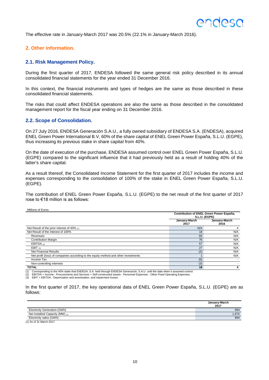<span id="page-22-0"></span>The effective rate in January-March 2017 was 20.5% (22.1% in January-March 2016).

## <span id="page-22-1"></span>**2. Other information.**

### **2.1. Risk Management Policy.**

During the first quarter of 2017, ENDESA followed the same general risk policy described in its annual consolidated financial statements for the year ended 31 December 2016.

In this context, the financial instruments and types of hedges are the same as those described in these consolidated financial statements.

<span id="page-22-2"></span>The risks that could affect ENDESA operations are also the same as those described in the consolidated management report for the fiscal year ending on 31 December 2016.

### **2.2. Scope of Consolidation.**

On 27 July 2016, ENDESA Generación S.A.U., a fully owned subsidiary of ENDESA S.A. (ENDESA), acquired ENEL Green Power International B.V, 60% of the share capital of ENEL Green Power España, S.L.U. (EGPE), thus increasing its previous stake in share capital from 40%.

On the date of execution of the purchase, ENDESA assumed control over ENEL Green Power España, S.L.U. (EGPE) compared to the significant influence that it had previously held as a result of holding 40% of the latter's share capital.

As a result thereof, the Consolidated Income Statement for the first quarter of 2017 includes the income and expenses corresponding to the consolidation of 100% of the stake in ENEL Green Power España, S.L.U. (EGPE).

The contribution of ENEL Green Power España, S.L.U. (EGPE) to the net result of the first quarter of 2017 rose to €18 million is as follows:

| Millions of Euros |
|-------------------|
|                   |

|                       | Contribution of ENEL Green Power España,<br>S.L.U. (EGPE) |  |  |
|-----------------------|-----------------------------------------------------------|--|--|
| January-March<br>2017 | January-March<br>2016                                     |  |  |
| N/A                   |                                                           |  |  |
| 18                    | N/A                                                       |  |  |
| 83                    | N/A                                                       |  |  |
| 76                    | N/A                                                       |  |  |
| 57                    | N/A                                                       |  |  |
| 27                    | N/A                                                       |  |  |
| (2)                   | N/A                                                       |  |  |
|                       | N/A                                                       |  |  |
| (5)                   |                                                           |  |  |
| (3)                   |                                                           |  |  |
| 18                    |                                                           |  |  |
|                       |                                                           |  |  |

(1) Corresponding to the 40% stake that ENDESA, S.A. held through ENDESA Generación, S.A.U. until the date when it assumed control.<br>(2) EBITDA = Income - Procurements and Services + Self-constructed assets - Personnel Expe

(3) EBIT = EBITDA - Depreciation and amortisation, and impairment losses.

In the first quarter of 2017, the key operational data of ENEL Green Power España, S.L.U. (EGPE) are as follows:

|                                     | January-March<br>2017 |
|-------------------------------------|-----------------------|
| <b>Electricity Generation (GWh)</b> | 994                   |
| Net Installed Capacity (MW) (1)     | 1.675                 |
| Electricity sales (GWh)             | 994                   |

<span id="page-22-3"></span>(1) As of 31 March 2017.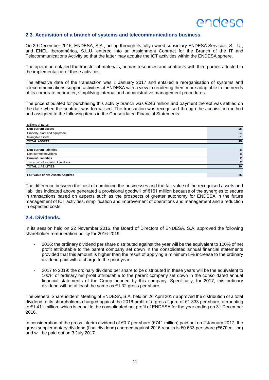### **2.3. Acquisition of a branch of systems and telecommunications business.**

On 29 December 2016, ENDESA, S.A., acting through its fully owned subsidiary ENDESA Servicios, S.L.U., and ENEL Iberoamérica, S.L.U. entered into an Assignment Contract for the Branch of the IT and Telecommunications Activity so that the latter may acquire the ICT activities within the ENDESA sphere.

The operation entailed the transfer of materials, human resources and contracts with third parties affected in the implementation of these activities.

The effective date of the transaction was 1 January 2017 and entailed a reorganisation of systems and telecommunications support activities at ENDESA with a view to rendering them more adaptable to the needs of its corporate perimeter, simplifying internal and administrative management procedures.

The price stipulated for purchasing this activity branch was €246 million and payment thereof was settled on the date when the contract was formalised. The transaction was recognised through the acquisition method and assigned to the following items in the Consolidated Financial Statements:

| Millions of Euros                   |                |
|-------------------------------------|----------------|
| <b>Non-current assets</b>           | 95             |
| Property, plant and equipment       | 64             |
| Intangible assets                   | 31             |
| <b>TOTAL ASSETS</b>                 | 95             |
|                                     |                |
| <b>Non-current liabilities</b>      | 8              |
| Non-current provisions              | 8              |
| <b>Current Liabilities</b>          | $\overline{2}$ |
| Trade and other current liabilities | 2              |
| <b>TOTAL LIABILITIES</b>            | 10             |
|                                     |                |
| Fair Value of Net Assets Acquired   | 85             |

The difference between the cost of combining the businesses and the fair value of the recognised assets and liabilities indicated above generated a provisional goodwill of €161 million because of the synergies to secure in transactions based on aspects such as the prospects of greater autonomy for ENDESA in the future management of ICT activities, simplification and improvement of operations and management and a reduction in expected costs.

### <span id="page-23-0"></span>**2.4. Dividends.**

In its session held on 22 November 2016, the Board of Directors of ENDESA, S.A. approved the following shareholder remuneration policy for 2016-2019:

- 2016: the ordinary dividend per share distributed against the year will be the equivalent to 100% of net profit attributable to the parent company set down in the consolidated annual financial statements provided that this amount is higher than the result of applying a minimum 5% increase to the ordinary dividend paid with a charge to the prior year.
- 2017 to 2019: the ordinary dividend per share to be distributed in these years will be the equivalent to 100% of ordinary net profit attributable to the parent company set down in the consolidated annual financial statements of the Group headed by this company. Specifically, for 2017, this ordinary dividend will be at least the same as €1.32 gross per share.

The General Shareholders' Meeting of ENDESA, S.A. held on 26 April 2017 approved the distribution of a total dividend to its shareholders charged against the 2016 profit of a gross figure of €1.333 per share, amounting to €1,411 million, which is equal to the consolidated net profit of ENDESA for the year ending on 31 December 2016.

<span id="page-23-1"></span>In consideration of the gross interim dividend of €0.7 per share (€741 million) paid out on 2 January 2017, the gross supplementary dividend (final dividend) charged against 2016 results is €0.633 per share (€670 million) and will be paid out on 3 July 2017.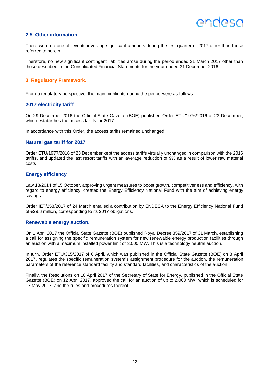## **2.5. Other information.**

There were no one-off events involving significant amounts during the first quarter of 2017 other than those referred to herein.

Therefore, no new significant contingent liabilities arose during the period ended 31 March 2017 other than those described in the Consolidated Financial Statements for the year ended 31 December 2016.

## <span id="page-24-0"></span>**3. Regulatory Framework.**

From a regulatory perspective, the main highlights during the period were as follows:

## **2017 electricity tariff**

On 29 December 2016 the Official State Gazette (BOE) published Order ETU/1976/2016 of 23 December, which establishes the access tariffs for 2017.

In accordance with this Order, the access tariffs remained unchanged.

### **Natural gas tariff for 2017**

Order ETU/1977/2016 of 23 December kept the access tariffs virtually unchanged in comparison with the 2016 tariffs, and updated the last resort tariffs with an average reduction of 9% as a result of lower raw material costs.

## **Energy efficiency**

Law 18/2014 of 15 October, approving urgent measures to boost growth, competitiveness and efficiency, with regard to energy efficiency, created the Energy Efficiency National Fund with the aim of achieving energy savings.

Order IET/258/2017 of 24 March entailed a contribution by ENDESA to the Energy Efficiency National Fund of €29.3 million, corresponding to its 2017 obligations.

### **Renewable energy auction.**

On 1 April 2017 the Official State Gazette (BOE) published Royal Decree 359/2017 of 31 March, establishing a call for assigning the specific remuneration system for new renewable energy production facilities through an auction with a maximum installed power limit of 3,000 MW. This is a technology neutral auction.

In turn, Order ETU/315/2017 of 6 April, which was published in the Official State Gazette (BOE) on 8 April 2017, regulates the specific remuneration system's assignment procedure for the auction, the remuneration parameters of the reference standard facility and standard facilities, and characteristics of the auction.

<span id="page-24-1"></span>Finally, the Resolutions on 10 April 2017 of the Secretary of State for Energy, published in the Official State Gazette (BOE) on 12 April 2017, approved the call for an auction of up to 2,000 MW, which is scheduled for 17 May 2017, and the rules and procedures thereof.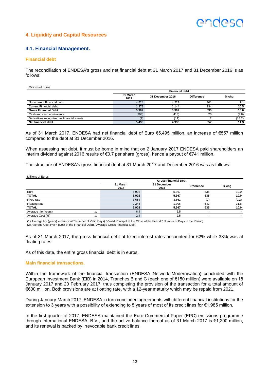## ANNASI

## **4. Liquidity and Capital Resources**

## <span id="page-25-0"></span>**4.1. Financial Management.**

### **Financial debt**

The reconciliation of ENDESA's gross and net financial debt at 31 March 2017 and 31 December 2016 is as follows:

Millions of Euros

|                                            | <b>Financial debt</b> |                  |                   |         |  |
|--------------------------------------------|-----------------------|------------------|-------------------|---------|--|
|                                            | 31 March<br>2017      | 31 December 2016 | <b>Difference</b> | $%$ chg |  |
| Non-current Financial debt                 | 4.524                 | 4.223            | 301               |         |  |
| <b>Current Financial debt</b>              | 1.378                 | 1.144            | 234               | 20.5    |  |
| <b>Gross Financial Debt</b>                | 5,902                 | 5,367            | 535               | 10.0    |  |
| Cash and cash equivalents                  | (398)                 | (418)            | 20                | (4.8)   |  |
| Derivatives recognised as financial assets | (9)                   | '11.             |                   | (18.2)  |  |
| Net financial debt                         | 5,495                 | 4,938            | 557               | 11.3    |  |

As of 31 March 2017, ENDESA had net financial debt of Euro €5,495 million, an increase of €557 million compared to the debt at 31 December 2016.

When assessing net debt, it must be borne in mind that on 2 January 2017 ENDESA paid shareholders an interim dividend against 2016 results of €0.7 per share (gross), hence a payout of €741 million.

The structure of ENDESA's gross financial debt at 31 March 2017 and December 2016 was as follows:

Millions of Euros

|                             | <b>Gross Financial Debt</b> |                     |                   |                          |  |  |
|-----------------------------|-----------------------------|---------------------|-------------------|--------------------------|--|--|
|                             | 31 March<br>2017            | 31 December<br>2016 | <b>Difference</b> | $%$ chg                  |  |  |
| Euro                        | 5,902                       | 5.367               | 535               | 10,0                     |  |  |
| <b>TOTAL</b>                | 5.902                       | 5.367               | 535               | 10.0                     |  |  |
| Fixed rate                  | 3,654                       | 3,661               |                   | (0.2)                    |  |  |
| Floating rate               | 2,248                       | 1.706               | 542               | 31.8                     |  |  |
| <b>TOTAL</b>                | 5.902                       | 5.367               | 535               | 10.0                     |  |  |
| Average life (years)<br>(1) | 6.4                         | 6.5                 |                   |                          |  |  |
| Average Cost (%)<br>(2)     | 2.4                         | 2.5                 | ۰                 | $\overline{\phantom{a}}$ |  |  |

(1) Average life (years) = (Principal \* Number of Valid Days) / (Valid Principal at the Close of the Period \* Number of Days in the Period).<br>(2) Average Cost (%) = (Cost of the Financial Debt) / Average Gross Financial Deb

As of 31 March 2017, the gross financial debt at fixed interest rates accounted for 62% while 38% was at floating rates.

As of this date, the entire gross financial debt is in euros.

#### **Main financial transactions.**

Within the framework of the financial transaction (ENDESA Network Modernisation) concluded with the European Investment Bank (EIB) in 2014, Tranches B and C (each one of €150 million) were available on 18 January 2017 and 20 February 2017, thus completing the provision of the transaction for a total amount of €600 million. Both provisions are at floating rate, with a 12-year maturity which may be repaid from 2021.

During January-March 2017, ENDESA in turn concluded agreements with different financial institutions for the extension to 3 years with a possibility of extending to 5 years of most of its credit lines for €1,985 million.

In the first quarter of 2017, ENDESA maintained the Euro Commercial Paper (EPC) emissions programme through International ENDESA, B.V., and the active balance thereof as of 31 March 2017 is €1,200 million, and its renewal is backed by irrevocable bank credit lines.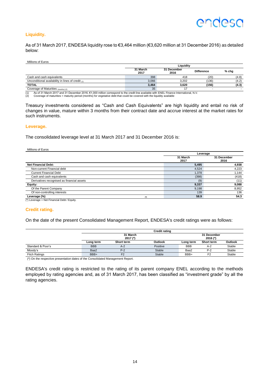## **Liquidity.**

As of 31 March 2017, ENDESA liquidity rose to €3,464 million (€3,620 million at 31 December 2016) as detailed below:

Millions of Euros

|                                                   | Liquidity        |                     |                   |         |  |  |
|---------------------------------------------------|------------------|---------------------|-------------------|---------|--|--|
|                                                   | 31 March<br>2017 | 31 December<br>2016 | <b>Difference</b> | $%$ chg |  |  |
| Cash and cash equivalents                         | 398              | 418                 | (20)              | (4.8)   |  |  |
| Unconditional availability in lines of credit (1) | 3.066            | 3.202               | (136)             | (4.2)   |  |  |
| <b>TOTAL</b>                                      | 3,464            | 3.620               | (156)             | (4.3)   |  |  |
| Coverage of Maturities (months) (2)               | 35               |                     |                   |         |  |  |

(1) As of 31 March 2017 and 31 December 2016, €1,000 million correspond to the credit line available with ENEL Finance International, N.V.<br>(2) Coverage of maturities = maturity period (months) for vegetative debt that cou

Treasury investments considered as "Cash and Cash Equivalents" are high liquidity and entail no risk of changes in value, mature within 3 months from their contract date and accrue interest at the market rates for such instruments.

#### **Leverage.**

The consolidated leverage level at 31 March 2017 and 31 December 2016 is:

Millions of Euros

|                                                                                                                                                                                                                                                                                                                                                           |     | Leverage         |                     |  |  |
|-----------------------------------------------------------------------------------------------------------------------------------------------------------------------------------------------------------------------------------------------------------------------------------------------------------------------------------------------------------|-----|------------------|---------------------|--|--|
|                                                                                                                                                                                                                                                                                                                                                           |     | 31 March<br>2017 | 31 December<br>2016 |  |  |
| <b>Net Financial Debt:</b>                                                                                                                                                                                                                                                                                                                                |     | 5,495            | 4,938               |  |  |
| Non-current Financial debt                                                                                                                                                                                                                                                                                                                                |     | 4,524            | 4,223               |  |  |
| <b>Current Financial Debt</b>                                                                                                                                                                                                                                                                                                                             |     | 1,378            | 1,144               |  |  |
| Cash and cash equivalents                                                                                                                                                                                                                                                                                                                                 |     | (398)            | (418)               |  |  |
| Derivatives recognised as financial assets                                                                                                                                                                                                                                                                                                                |     | (9)              | (11)                |  |  |
| Equity:                                                                                                                                                                                                                                                                                                                                                   |     | 9,337            | 9,088               |  |  |
| Of the Parent Company                                                                                                                                                                                                                                                                                                                                     |     | 9,198            | 8,952               |  |  |
| Of non-controlling interests                                                                                                                                                                                                                                                                                                                              |     | 139              | 136                 |  |  |
| Leverage (%)                                                                                                                                                                                                                                                                                                                                              | (1) | 58.9             | 54.3                |  |  |
| $\lambda$ and $\lambda$ are $\lambda$ and $\lambda$ are $\lambda$ and $\lambda$ are $\lambda$ and $\lambda$ are $\lambda$ and $\lambda$ are $\lambda$ and $\lambda$ are $\lambda$ and $\lambda$ are $\lambda$ and $\lambda$ are $\lambda$ and $\lambda$ are $\lambda$ and $\lambda$ are $\lambda$ and $\lambda$ are $\lambda$ and $\lambda$ are $\lambda$ |     |                  |                     |  |  |

 $(*)$  Leverage = Net Financial Debt / Equity.

#### **Credit rating.**

On the date of the present Consolidated Management Report, ENDESA's credit ratings were as follows:

|                      |                        |                | <b>Credit rating</b> |            |                         |         |
|----------------------|------------------------|----------------|----------------------|------------|-------------------------|---------|
|                      | 31 March<br>$2017$ (*) |                |                      |            | 31 December<br>2016 (*) |         |
|                      | Long term              | Short term     | Outlook              | Long term  | Short term              | Outlook |
| Standard & Poor's    | <b>BBB</b>             | $A-2$          | Positive             | <b>BBB</b> | $A-2$                   | Stable  |
| Moody's              | Baa2                   | $P-2$          | <b>Stable</b>        | Baa2       | $P-2$                   | Stable  |
| <b>Fitch Ratings</b> | BBB+                   | F <sub>2</sub> | <b>Stable</b>        | BBB+       | F <sub>2</sub>          | Stable  |

(\*) On the respective presentation dates of the Consolidated Management Report.

<span id="page-26-0"></span>ENDESA's credit rating is restricted to the rating of its parent company ENEL according to the methods employed by rating agencies and, as of 31 March 2017, has been classified as "investment grade" by all the rating agencies.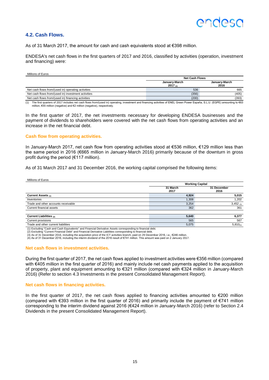## **4.2. Cash Flows.**

As of 31 March 2017, the amount for cash and cash equivalents stood at €398 million.

ENDESA's net cash flows in the first quarters of 2017 and 2016, classified by activities (operation, investment and financing) were:

Millions of Euros

|                                                                                                                                                                                        | <b>Net Cash Flows</b>    |                       |  |
|----------------------------------------------------------------------------------------------------------------------------------------------------------------------------------------|--------------------------|-----------------------|--|
|                                                                                                                                                                                        | January-March<br>2017(n) | January-March<br>2016 |  |
| Net cash flows from/(used in) operating activities                                                                                                                                     | 536                      | 665                   |  |
| Net cash flows from/(used in) investment activities                                                                                                                                    | (356)                    | (405)                 |  |
| Net cash flows from/(used in) financing activities                                                                                                                                     | (200)                    | (393)                 |  |
| (4) The Base accounts of AAR beliefs and seeds from free about the second of the second of and the Control Based Control of TNPL Accord Based Control of TNPL According to CAAP (2000) |                          |                       |  |

(1) The first quarters of 2017 includes net cash flows from/(used in) operating, investment and financing activities of ENEL Green Power España, S.L.U. (EGPE) amounting to €63 million, €55 million (negative) and €2 million (negative), respectively.

In the first quarter of 2017, the net investments necessary for developing ENDESA businesses and the payment of dividends to shareholders were covered with the net cash flows from operating activities and an increase in the net financial debt.

### **Cash flow from operating activities.**

In January-March 2017, net cash flow from operating activities stood at €536 million, €129 million less than the same period in 2016 (€665 million in January-March 2016) primarily because of the downturn in gross profit during the period (€117 million).

As of 31 March 2017 and 31 December 2016, the working capital comprised the following items:

| Millions of Euros                                             |                        |                     |  |
|---------------------------------------------------------------|------------------------|---------------------|--|
|                                                               | <b>Working Capital</b> |                     |  |
|                                                               | 31 March<br>2017       | 31 December<br>2016 |  |
| <b>Current Assets (1)</b>                                     | 4,924                  | 5,015               |  |
| Inventories                                                   | 1,308                  | 1,202               |  |
| Trade and other accounts receivable                           | 3,254                  | $3,452$ (3)         |  |
| Current financial assets                                      | 362                    | 361                 |  |
|                                                               |                        |                     |  |
| Current Liabilities (2)                                       | 5,640                  | 6,377               |  |
| Current provisions                                            | 565                    | 567                 |  |
| Trade and other current liabilities<br>.<br>$\cdots$ $\cdots$ | 5,075<br>.             | $5,810_{(4)}$       |  |

(1) Excluding "Cash and Cash Equivalents" and Financial Derivative Assets corresponding to financial debt.<br>(2) Excluding "Current Financial Debt" and Financial Derivative Liabilities corresponding to financial debt.<br>(3) A

(4) As of 31 December 2016, including the interim dividend of the 2016 result of €741 million. This amount was paid on 2 January 2017.

#### **Net cash flows in investment activities.**

During the first quarter of 2017, the net cash flows applied to investment activities were €356 million (compared with €405 million in the first quarter of 2016) and mainly include net cash payments applied to the acquisition of property, plant and equipment amounting to €321 million (compared with €324 million in January-March 2016) (Refer to section 4.3 Investments in the present Consolidated Management Report).

#### **Net cash flows in financing activities.**

<span id="page-27-0"></span>In the first quarter of 2017, the net cash flows applied to financing activities amounted to €200 million (compared with €393 million in the first quarter of 2016) and primarily include the payment of €741 million corresponding to the interim dividend against 2016 (€424 million in January-March 2016) (refer to Section 2.4 Dividends in the present Consolidated Management Report).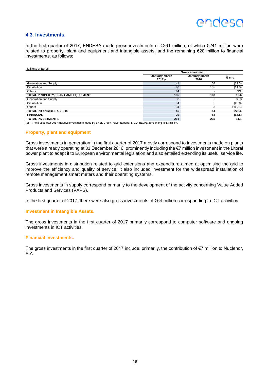## **ANNASI**

### **4.3. Investments.**

In the first quarter of 2017, ENDESA made gross investments of €261 million, of which €241 million were related to property, plant and equipment and intangible assets, and the remaining €20 million to financial investments, as follows:

#### Millions of Euros

|                                     | <b>Gross investment</b>     |                       |         |  |
|-------------------------------------|-----------------------------|-----------------------|---------|--|
|                                     | January-March<br>$2017$ (1) | January-March<br>2016 | $%$ chg |  |
| Generation and Supply               | 41                          | 58                    | (29.3)  |  |
| <b>Distribution</b>                 | 90                          | 105                   | (14.3)  |  |
| Others                              | 64                          |                       | N/A     |  |
| TOTAL PROPERTY, PLANT AND EQUIPMENT | 195                         | 163                   | 19.6    |  |
| Generation and Supply               | 8                           | 6                     | 33.3    |  |
| <b>Distribution</b>                 | 4                           | 5                     | (20.0)  |  |
| Others                              | 34                          | 3                     | 1,033.3 |  |
| <b>TOTAL INTANGIBLE ASSETS</b>      | 46                          | 14                    | 228.6   |  |
| <b>FINANCIAL</b>                    | 20                          | 58                    | (65.5)  |  |
| <b>TOTAL INVESTMENTS</b>            | 261                         | 235                   | 11.1    |  |

(1) The first quarter 2017 includes investments made by ENEL Green Power España, S.L.U. (EGPE) amounting to €3 million.

#### **Property, plant and equipment**

Gross investments in generation in the first quarter of 2017 mostly correspond to investments made on plants that were already operating at 31 December 2016, prominently including the €7 million investment in the Litoral power plant to adapt it to European environmental legislation and also entailed extending its useful service life.

Gross investments in distribution related to grid extensions and expenditure aimed at optimising the grid to improve the efficiency and quality of service. It also included investment for the widespread installation of remote management smart meters and their operating systems.

Gross investments in supply correspond primarily to the development of the activity concerning Value Added Products and Services (VAPS).

In the first quarter of 2017, there were also gross investments of €64 million corresponding to ICT activities.

#### **Investment in Intangible Assets.**

The gross investments in the first quarter of 2017 primarily correspond to computer software and ongoing investments in ICT activities.

### **Financial investments.**

The gross investments in the first quarter of 2017 include, primarily, the contribution of €7 million to Nuclenor, S.A.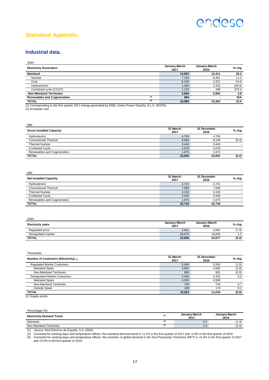**<sup>2016</sup> % chg**

## **Statistical Appendix.**

## **Industrial data.**

GWh

| <b>Electricity Generation</b>             | January-March<br>2017 | January-March<br>2016 | $%$ chg |
|-------------------------------------------|-----------------------|-----------------------|---------|
| <b>Mainland</b>                           | 14.922                | 12.411                | 20.2    |
| Nuclear                                   | 7.184                 | 6.461                 | 11.2    |
| Coal                                      | 5,135                 | 3,321                 | 54.6    |
| Hydroelectric                             | 1,483                 | 2.333                 | (36.4)  |
| Combined cycle (CCGT)                     | 1.120                 | 296                   | 278.4   |
| <b>Non-Mainland Territories</b>           | 3.064                 | 2.952                 | 3.8     |
| (1)<br><b>Renewables and Cogeneration</b> | 994                   |                       | N/A     |
| (2)<br><b>TOTAL</b>                       | 18.980                | 15.363                | 23.5    |

(1) Corresponding to the first quarter 2017 energy generated by ENEL Green Power España, S.L.U. (EGPE). (2) At busbar cost.

| <b>MW</b>                       |                   |                     |         |
|---------------------------------|-------------------|---------------------|---------|
| <b>Gross Installed Capacity</b> | 31 March:<br>2017 | 31 December<br>2016 | $%$ chg |
| Hydroelectric                   | 4.765             | 4.765               |         |
| <b>Conventional Thermal</b>     | 8,094             | 8.130               | (0.4)   |
| <b>Thermal Nuclear</b>          | 3.443             | 3.443               |         |
| Combined Cycle                  | 5,678             | 5,678               |         |

**TOTAL 23,655 23,691 (0.2)**

M<sub>MA</sub>

| <b>IVIVV</b>                  |                   |                     |         |
|-------------------------------|-------------------|---------------------|---------|
| <b>Net Installed Capacity</b> | 31 March:<br>2017 | 31 December<br>2016 | $%$ chg |
| Hydroelectric                 | 4.721             | 4,721               |         |
| <b>Conventional Thermal</b>   | 7.585             | 7.585               |         |
| <b>Thermal Nuclear</b>        | 3.318             | 3.318               |         |
| <b>Combined Cycle</b>         | 5.445             | 5.445               |         |
| Renewables and Cogeneration   | 1.675             | 1.675               |         |
| <b>TOTAL</b>                  | 22,744            | 22,744              | ۰       |

Renewables and Cogeneration and the computation of the control of the control of the control of the control of the control of the control of the control of the control of the control of the control of the control of the co

| GWh                      |                       |                       |         |
|--------------------------|-----------------------|-----------------------|---------|
| <b>Electricity sales</b> | January-March<br>2017 | January-March<br>2016 | $%$ chg |
| Regulated price          | 3,561                 | 3.842                 | (7.3)   |
| Deregulated market       | 20,075                | 19.835                | 1.2     |
| <b>TOTAL</b>             | 23,636                | 23,677                | (0.2)   |

| Thousands                             |                   |                     |         |
|---------------------------------------|-------------------|---------------------|---------|
| Number of Customers (Electricity) (1) | 31 March:<br>2017 | 31 December<br>2016 | $%$ chg |
| <b>Requlated Market Customers</b>     | 5.484             | 5.593               | (1.9)   |
| Mainland Spain                        | 4,601             | 4,692               | (1.9)   |
| Non-Mainland Territories              | 883               | 901                 | (2.0)   |
| <b>Deregulated Market Customers</b>   | 5.440             | 5.423               | 0.3     |
| Mainland Spain                        | 4,503             | 4.505               | -       |
| Non-Mainland Territories              | 749               | 744                 | 0.7     |
| Outside Spain                         | 188               | 174                 | 8.1     |
| <b>TOTAL</b>                          | 10,924            | 11.016              | (0.8)   |

(1) Supply points.

| Percentage (%)                  |     |                       |                       |
|---------------------------------|-----|-----------------------|-----------------------|
| <b>Electricity Demand Trend</b> | (1) | January-March<br>2017 | January-March<br>2016 |
| Mainland                        | (2) | 0.2                   | 1.3)                  |
| Non-Mainland Territories        |     | 1.6                   | (1.0)                 |

(1) Source: Red Eléctrica de España, S.A. (REE).

(2) Corrected for working days and temperature effects, the mainland demand trend is +1.1% in the first quarter of 2017 and -0.6% in the first quarter of 2016<br>(3) Corrected for working days and temperature effects, the evo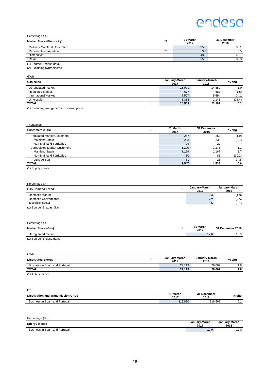## Percentage (%)

| <b>Market Share (Electricity)</b>   | (1) | 31 March<br>2017 | 31 December<br>2016 |
|-------------------------------------|-----|------------------|---------------------|
| <b>Ordinary Mainland Generation</b> |     | 35.6             | 35.                 |
| Renewable Generation                | (2) | 3.9              | 3.5                 |
| Distribution                        |     | 43.3             | 43.7                |
| Retail                              |     | 35.3             | 35.3                |
| (1) Source: Endesa data.            |     |                  |                     |

(2) Excluding hydroelectric.

GWh

| Gas sales                                                                                                                                                                                                                               | January-March<br>2017 | January-March<br>2016 | % chg  |
|-----------------------------------------------------------------------------------------------------------------------------------------------------------------------------------------------------------------------------------------|-----------------------|-----------------------|--------|
| Deregulated market                                                                                                                                                                                                                      | 15,001                | 14.859                | 1.0    |
| <b>Regulated Market</b>                                                                                                                                                                                                                 | 677                   | 687                   | (1.5)  |
| <b>International Market</b>                                                                                                                                                                                                             | 7,507                 | 5.594                 | 34.2   |
| Wholesale                                                                                                                                                                                                                               | 1.318                 | 2.141                 | (38.4) |
| (1)<br><b>TOTAL</b>                                                                                                                                                                                                                     | 24.503                | 23.281                | 5.2    |
| $\mathcal{L}$ and $\mathcal{L}$ are the contract of the contract of the contract of the contract of the contract of the contract of the contract of the contract of the contract of the contract of the contract of the contract of the |                       |                       |        |

(1) Excluding own generation consumption.

| Thousands                           |     |                  |                     |         |
|-------------------------------------|-----|------------------|---------------------|---------|
| <b>Customers (Gas)</b>              | (1) | 31 March<br>2017 | 31 December<br>2016 | $%$ chg |
| <b>Requlated Market Customers</b>   |     | 257              | 262                 | (1.9)   |
| <b>Mainland Spain</b>               |     | 228              | 233                 | (2.1)   |
| Non-Mainland Territories            |     | 29               | 29                  |         |
| <b>Deregulated Market Customers</b> |     | 1.290            | 1.276               | 1.1     |
| <b>Mainland Spain</b>               |     | 1,199            | 1.167               | 2.7     |
| Non-Mainland Territories            |     | 60               | 86                  | (30.2)  |
| Outside Spain                       |     | 31               | 23                  | 34.8    |
| <b>TOTAL</b>                        |     | 1.547            | 1.538               | 0.6     |

(1) Supply points.

| Percentage (%)                   |     |                       |                       |
|----------------------------------|-----|-----------------------|-----------------------|
| <b>Gas Demand Trend</b>          | (1) | January-March<br>2017 | January-March<br>2016 |
| Domestic market                  |     | 8.4                   | (4.3)                 |
| Domestic Conventional            |     | 7.2                   | (2.5)                 |
| Electricity sector               |     | 16.5                  | (5.1)                 |
| $(4)$ $0$ , $\cdots$ $0$ , $(1)$ |     |                       |                       |

(1) Source: Enagás, S.A.

| Percentage (%)            |     |                  |                  |
|---------------------------|-----|------------------|------------------|
| <b>Market Share (Gas)</b> | (1) | 31 March<br>2017 | 31 December 2016 |
| Deregulated market        |     | 17.6             | 16.9             |
| $(4)$ Course: Endeca data |     |                  |                  |

(1) Source: Endesa data.

| GWh                            |     |                       |                       |         |
|--------------------------------|-----|-----------------------|-----------------------|---------|
| <b>Distributed Energy</b>      | (1) | January-March<br>2017 | January-March<br>2016 | $%$ chg |
| Business in Spain and Portugal |     | 29.119                | 28.602                | 1.8     |
| <b>TOTAL</b>                   |     | 29.119                | 28.602                | 1.8     |
| $(1)$ At hushar cost           |     |                       |                       |         |

(1) At busbar cost.

| km                                         |                  |                     |       |
|--------------------------------------------|------------------|---------------------|-------|
| <b>Distribution and Transmission Grids</b> | 31 March<br>2017 | 31 December<br>2016 | % chg |
| Business in Spain and Portugal             | 316.890          | 316.562             | 0.1   |

| Percentage (%)                                |                       |                       |
|-----------------------------------------------|-----------------------|-----------------------|
| <b>Energy losses</b>                          | January-March<br>2017 | January-March<br>2016 |
| Spain and Portugal<br>Rueingee in L<br>ະລລ ມມ | ت. ۲                  | 12.8                  |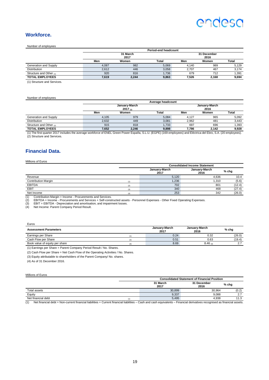## **Workforce.**

Number of employees

|                         | <b>Period-end headcount</b> |       |       |       |                     |       |
|-------------------------|-----------------------------|-------|-------|-------|---------------------|-------|
|                         | 31 March<br>2017            |       |       |       | 31 December<br>2016 |       |
|                         | Men                         | Women | Total | Men   | Women               | Total |
| Generation and Supply   | 4.087                       | 982   | 5.069 | 4.140 | 989                 | 5,129 |
| <b>Distribution</b>     | 2.612                       | 446   | 3,058 | 2.707 | 467                 | 3,174 |
| Structure and Other (1) | 920                         | 816   | 1.736 | 679   | 712                 | 1,391 |
| <b>TOTAL EMPLOYEES</b>  | 7,619                       | 2,244 | 9,863 | 7.526 | 2.168               | 9.694 |

(1) Structure and Services.

#### Number of employees

|                                                                                                                                                                  | Average headcount        |       |       |       |                       |       |
|------------------------------------------------------------------------------------------------------------------------------------------------------------------|--------------------------|-------|-------|-------|-----------------------|-------|
|                                                                                                                                                                  | January-March<br>2017(1) |       |       |       | January-March<br>2016 |       |
|                                                                                                                                                                  | Men                      | Women | Total | Men   | Women                 | Total |
| Generation and Supply                                                                                                                                            | 4.105                    | 979   | 5.084 | 4.127 | 965                   | 5,092 |
| <b>Distribution</b>                                                                                                                                              | 2.632                    | 449   | 3.081 | 2.962 | 481                   | 3,443 |
| Structure and Other (2)                                                                                                                                          | 915                      | 818   | 1.733 | 697   | 696                   | 1.393 |
| <b>TOTAL EMPLOYEES</b>                                                                                                                                           | 7.652                    | 2.246 | 9.898 | 7.786 | 2.142                 | 9.928 |
| (1) The first quarter 2017 includes the average workforce of ENEL Green Power España, S.L.U. (EGPE) (169 employees) and Eléctrica del Ebro, S.A. (20 employees). |                          |       |       |       |                       |       |

(2) Structure and Services.

## **Financial Data.**

#### Millions of Euros

|                                                             |          | <b>Consolidated Income Statement</b> |                       |        |  |  |
|-------------------------------------------------------------|----------|--------------------------------------|-----------------------|--------|--|--|
|                                                             |          | January-March<br>2017                | January-March<br>2016 | % chg  |  |  |
| Revenue                                                     |          | 5,120                                | 4.636                 | 10.4   |  |  |
| <b>Contribution Margin</b>                                  | (1)      | 1,236                                | 1,310                 | (5.6)  |  |  |
| <b>EBITDA</b>                                               |          | 702                                  | 801                   | (12.4) |  |  |
| <b>EBIT</b>                                                 |          | 340                                  | 468                   | (27.4) |  |  |
| Net Income                                                  | $\Delta$ | 253                                  | 342                   | (26.0) |  |  |
| (4)<br>Contribution Margin Income Dreauramento and Convices |          |                                      |                       |        |  |  |

(1) Contribution Margin = Income - Procurements and Services. (2) EBITDA = Income - Procurements and Services + Self-constructed assets - Personnel Expenses - Other Fixed Operating Expenses.

(3) EBIT = EBITDA - Depreciation and amortisation, and impairment losses. (4) Net Income: Parent Company Period Result.

| Euros                          |                       |                       |         |
|--------------------------------|-----------------------|-----------------------|---------|
| <b>Assessment Parameters</b>   | January-March<br>2017 | January-March<br>2016 | $%$ chg |
| Earnings per Share             | 0.24                  | 0.32                  | (26.0)  |
| Cash Flow per Share<br>(2)     | 0.51                  | 0.63                  | (19.4)  |
| Book value of equity per share | 8.69                  | $8.46$ (4)            |         |

(1) Earnings per Share = Parent Company Period Result / No. Shares.

(2) Cash Flow per Share = Net Cash Flow of the Operating Activities / No. Shares.

(3) Equity attributable to shareholders of the Parent Company/ No. shares.

(4) As of 31 December 2016.

#### Millions of Euros

|                    | <b>Consolidated Statement of Financial Position</b> |                  |                     |         |  |  |
|--------------------|-----------------------------------------------------|------------------|---------------------|---------|--|--|
|                    |                                                     | 31 March<br>2017 | 31 December<br>2016 | $%$ chg |  |  |
| Total assets       |                                                     | 30.899           | 30.964              | (0.2)   |  |  |
| Equity             |                                                     | 9,337            | 9.088               | 2.7     |  |  |
| Net financial debt |                                                     | 5.495            | 4.938               | 11.3    |  |  |

 $(1)$  Net financial debt = Non-current financial liabilities + Current financial liabilities – Cash and cash equivalents – Financial derivatives recognised as financial assets.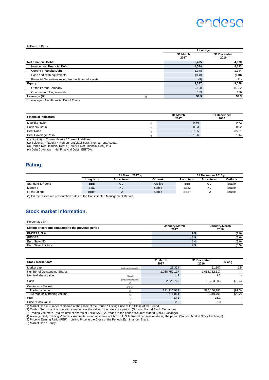#### **Millions of Euros**

|                                                      |       | Leverage         |                     |  |
|------------------------------------------------------|-------|------------------|---------------------|--|
|                                                      |       | 31 March<br>2017 | 31 December<br>2016 |  |
| <b>Net Financial Debt:</b>                           |       | 5,495            | 4,938               |  |
| Non-current Financial Debt:                          |       | 4,524            | 4,223               |  |
| <b>Current Financial Debt</b>                        |       | 1,378            | 1,144               |  |
| Cash and cash equivalents                            |       | (398)            | (418)               |  |
| Fianncial Derivatives recognised as financial assets |       | (9)              | (11)                |  |
| Equity:                                              |       | 9,337            | 9,088               |  |
| Of the Parent Company                                |       | 9,198            | 8,952               |  |
| Of non-controlling interests                         |       | 139              | 136                 |  |
| Leverage (%)                                         | $(*)$ | 58.9             | 54.3                |  |
| $(*)$ Leverage = Net Financial Debt / Fourty         |       |                  |                     |  |

(\*) Leverage = Net Financial Debt / Equity

| <b>Financial Indicators</b> |     | 31 March<br>2017 | 31 December<br>2016 |
|-----------------------------|-----|------------------|---------------------|
| <b>Liquidity Ratio</b>      | (1) | 0.76             | 0.72                |
| Solvency Ratio              | (2) | 0.93             | 0.92                |
| Debt Ratio                  | (3) | 37.05            | 35.21               |
| Debt Coverage Ratio         | (4) | 1.96             | 1.44                |

(1) Liquidity = Current Assets / Current Liabilities.<br>(2) Solvency = (Equity + Non-current Liabilities) / Non-current Assets.<br>(3) Debt = Net Financial Debt / (Equity + Net Financial Debt) (%).<br>(4) Debt Coverage = Net Finan

#### **Rating.**

Percentage (%)

|                      | 31 March 2017 m |            |          | 31 December 2016 $\epsilon$ |            |         |
|----------------------|-----------------|------------|----------|-----------------------------|------------|---------|
|                      | Long term       | Short term | Outlook  | Long term                   | Short term | Outlook |
| Standard & Poor's    | <b>BBB</b>      | A-2        | Positive | <b>BBB</b>                  | A-2        | Stable  |
| Moody's              | Baa2            | $P-2$      | Stable   | Baa2                        | P-2        | Stable  |
| <b>Fitch Ratings</b> | BBB+            | 口り         | Stable   | BBB+                        | ∼          | Stable  |

(\*) On the respective presentation dates of the Consolidated Management Report.

### **Stock market information.**

| Listing price trend compared to the previous period | January-March<br>2017 | January-March<br>2016 |  |
|-----------------------------------------------------|-----------------------|-----------------------|--|
| ENDESA, S.A.                                        | 9.5                   | (8.9)                 |  |
| IBEX-35                                             | 11.9                  | (8.6)                 |  |
| Euro Stoxx 50                                       | 6.4                   | (8.0)                 |  |
| <b>Euro Stoxx Utilities</b>                         | 7.9                   | (5.5)                 |  |

| Stock market data            |                         | 31 March<br>2017 | 31 December<br>2016 | $%$ chg |
|------------------------------|-------------------------|------------------|---------------------|---------|
| Market cap                   | (Millions of Euros) (1) | 23,324           | 21.307              | 9.5     |
| Number of Outstanding Shares |                         | 1,058,752.117    | 1,058,752.117       |         |
| Nominal share value          | (Euros)                 | 1.2              | 1.2                 |         |
| Cash                         | (Thousands of Euros)    | 2,226,766        | 10,783,803          | (79.4)  |
|                              | (2)                     |                  |                     |         |
| <b>Continuous Market</b>     | (shares)                |                  |                     |         |
| Trading volume               | (3)                     | 111,215,914      | 596,186,291         | (81.3)  |
| Average daily trading volume | (4)                     | 1,711,014        | 2,319,791           | (26.2)  |
| <b>PER</b>                   | (5)                     | 23.1             | 15.1                |         |
| Price / Book value           | (6)                     | 2.5              | 2.3                 |         |

(1) Market Cap = Number of Shares at the Close of the Period \* Listing Price at the Close of the Period.<br>(2) Cash = Sum of all the operations made over the value in the reference period. (Source: Madrid Stock Exchange).<br>(3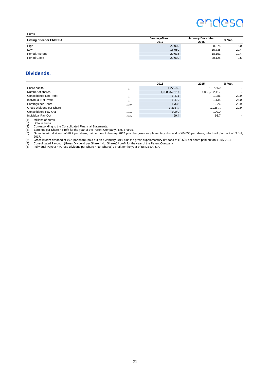| Euros                           |                       |                          |        |
|---------------------------------|-----------------------|--------------------------|--------|
| <b>Listing price for ENDESA</b> | January-March<br>2017 | January-December<br>2016 | % Var. |
| High                            | 22.030                | 20.975                   | 5.0    |
| Low                             | 18.950                | 15.735                   | 20.4   |
| Period Average                  | 20.035                | 18.151                   | 10.4   |
| Period Close                    | 22.030                | 20.125                   | 9.5    |

## **Dividends.**

|                                |           | 2016          | 2015          | % Var. |
|--------------------------------|-----------|---------------|---------------|--------|
| Share capital                  | (1)       | 1,270.50      | 1,270.50      |        |
| Number of shares               |           | 1,058,752,117 | 1,058,752,117 |        |
| <b>Consolidated Net Profit</b> | (1)       | 1.411         | 1,086         | 29.9   |
| Individual Net Profit          | (1)       | 1.419         | 1.135         | 25.0   |
| Earnings per Share             | (2)(3)(4) | 1.333         | 1.026         | 29.9   |
| Gross Dividend per Share       | (2)       | $1.333_{(5)}$ | 1.026 (6)     | 29.9   |
| <b>Consolidated Pay-Out</b>    | (%)(7)    | 100.0         | 100.0         |        |
| Individual Pay-Out             | $(\%)(8)$ | 99.4          | 95.7          |        |

(1) Millions of euros. (2) Data in euros

(3) Corresponding to the Consolidated Financial Statements.<br>(4) Earnings per Share = Profit for the year of the Parent Company / No. Shares.<br>(5) Gross interim dividend of €0.7 per share, paid out on 2 January 2017 plus th

2017.<br>(6) Gross interim dividend of €0.4 per share, paid out on 4 January 2016 plus the gross supplementary dividend of €0.626 per share paid out on 1 July 2016.<br>(7) Consolidated Payout = (Gross Dividend per Share \*